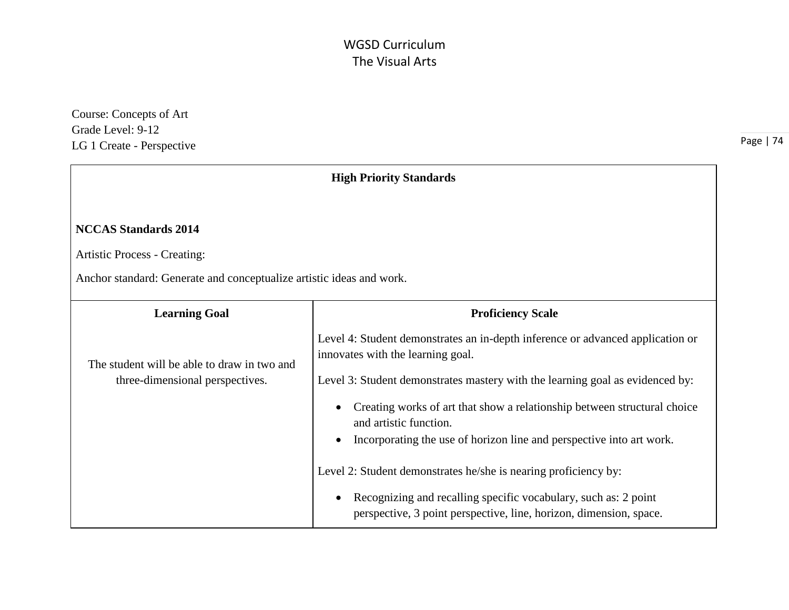Course: Concepts of Art Grade Level: 9-12 LG 1 Create - Perspective

| <b>High Priority Standards</b>                                                                                                             |                                                                                                                                                                                                                                                                                                                                                                                                                                                                                                                                                                                                |
|--------------------------------------------------------------------------------------------------------------------------------------------|------------------------------------------------------------------------------------------------------------------------------------------------------------------------------------------------------------------------------------------------------------------------------------------------------------------------------------------------------------------------------------------------------------------------------------------------------------------------------------------------------------------------------------------------------------------------------------------------|
| <b>NCCAS Standards 2014</b><br><b>Artistic Process - Creating:</b><br>Anchor standard: Generate and conceptualize artistic ideas and work. |                                                                                                                                                                                                                                                                                                                                                                                                                                                                                                                                                                                                |
| <b>Learning Goal</b>                                                                                                                       | <b>Proficiency Scale</b>                                                                                                                                                                                                                                                                                                                                                                                                                                                                                                                                                                       |
| The student will be able to draw in two and<br>three-dimensional perspectives.                                                             | Level 4: Student demonstrates an in-depth inference or advanced application or<br>innovates with the learning goal.<br>Level 3: Student demonstrates mastery with the learning goal as evidenced by:<br>Creating works of art that show a relationship between structural choice<br>and artistic function.<br>Incorporating the use of horizon line and perspective into art work.<br>Level 2: Student demonstrates he/she is nearing proficiency by:<br>Recognizing and recalling specific vocabulary, such as: 2 point<br>perspective, 3 point perspective, line, horizon, dimension, space. |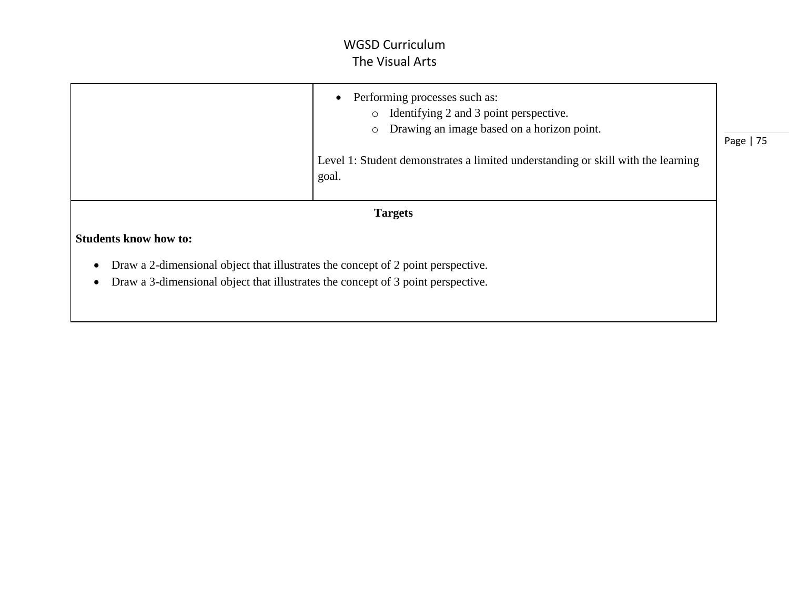|                                                                                                                                                                      | Performing processes such as:<br>$\bullet$<br>Identifying 2 and 3 point perspective.<br>$\circ$<br>Drawing an image based on a horizon point.<br>$\circ$<br>Level 1: Student demonstrates a limited understanding or skill with the learning<br>goal. | Page   75 |
|----------------------------------------------------------------------------------------------------------------------------------------------------------------------|-------------------------------------------------------------------------------------------------------------------------------------------------------------------------------------------------------------------------------------------------------|-----------|
|                                                                                                                                                                      | <b>Targets</b>                                                                                                                                                                                                                                        |           |
| <b>Students know how to:</b>                                                                                                                                         |                                                                                                                                                                                                                                                       |           |
| Draw a 2-dimensional object that illustrates the concept of 2 point perspective.<br>Draw a 3-dimensional object that illustrates the concept of 3 point perspective. |                                                                                                                                                                                                                                                       |           |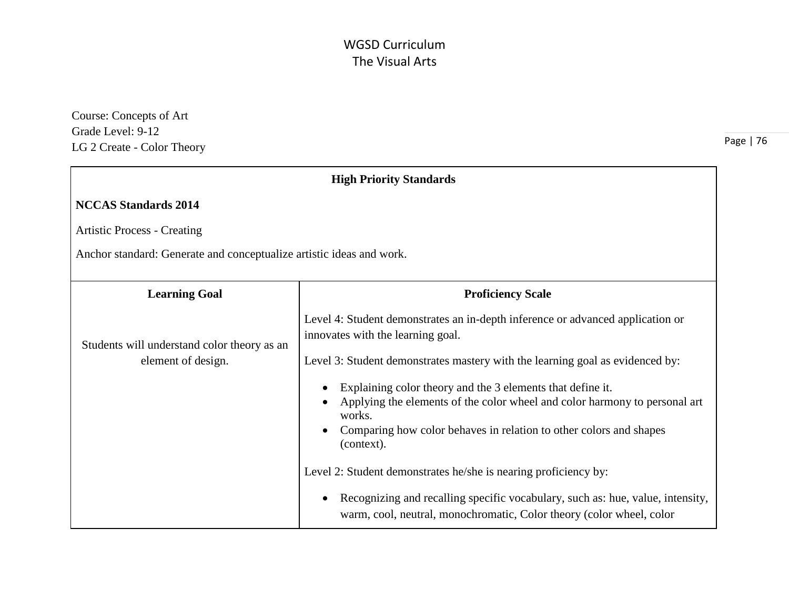Course: Concepts of Art Grade Level: 9-12 LG 2 Create - Color Theory

| <b>High Priority Standards</b>                                       |                                                                                                                                                                     |
|----------------------------------------------------------------------|---------------------------------------------------------------------------------------------------------------------------------------------------------------------|
| <b>NCCAS Standards 2014</b>                                          |                                                                                                                                                                     |
| <b>Artistic Process - Creating</b>                                   |                                                                                                                                                                     |
| Anchor standard: Generate and conceptualize artistic ideas and work. |                                                                                                                                                                     |
| <b>Learning Goal</b>                                                 | <b>Proficiency Scale</b>                                                                                                                                            |
| Students will understand color theory as an                          | Level 4: Student demonstrates an in-depth inference or advanced application or<br>innovates with the learning goal.                                                 |
| element of design.                                                   | Level 3: Student demonstrates mastery with the learning goal as evidenced by:                                                                                       |
|                                                                      | Explaining color theory and the 3 elements that define it.<br>$\bullet$<br>Applying the elements of the color wheel and color harmony to personal art<br>works.     |
|                                                                      | Comparing how color behaves in relation to other colors and shapes<br>(context).                                                                                    |
|                                                                      | Level 2: Student demonstrates he/she is nearing proficiency by:                                                                                                     |
|                                                                      | Recognizing and recalling specific vocabulary, such as: hue, value, intensity,<br>$\bullet$<br>warm, cool, neutral, monochromatic, Color theory (color wheel, color |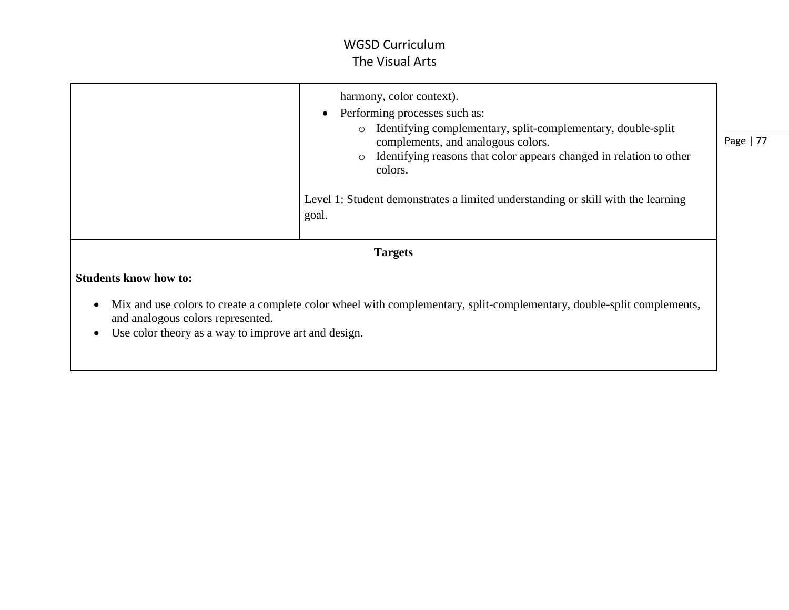|                              | harmony, color context).<br>Performing processes such as:<br>$\bullet$<br>Identifying complementary, split-complementary, double-split<br>$\circ$<br>complements, and analogous colors.<br>Identifying reasons that color appears changed in relation to other<br>$\circ$<br>colors.<br>Level 1: Student demonstrates a limited understanding or skill with the learning<br>goal. | Page   77 |
|------------------------------|-----------------------------------------------------------------------------------------------------------------------------------------------------------------------------------------------------------------------------------------------------------------------------------------------------------------------------------------------------------------------------------|-----------|
| <b>Targets</b>               |                                                                                                                                                                                                                                                                                                                                                                                   |           |
| <b>Students know how to:</b> | My and use colore to quate a complete color wheel with complementary, whit complementary double cult complements                                                                                                                                                                                                                                                                  |           |

- Mix and use colors to create a complete color wheel with complementary, split-complementary, double-split complements, and analogous colors represented.
- Use color theory as a way to improve art and design.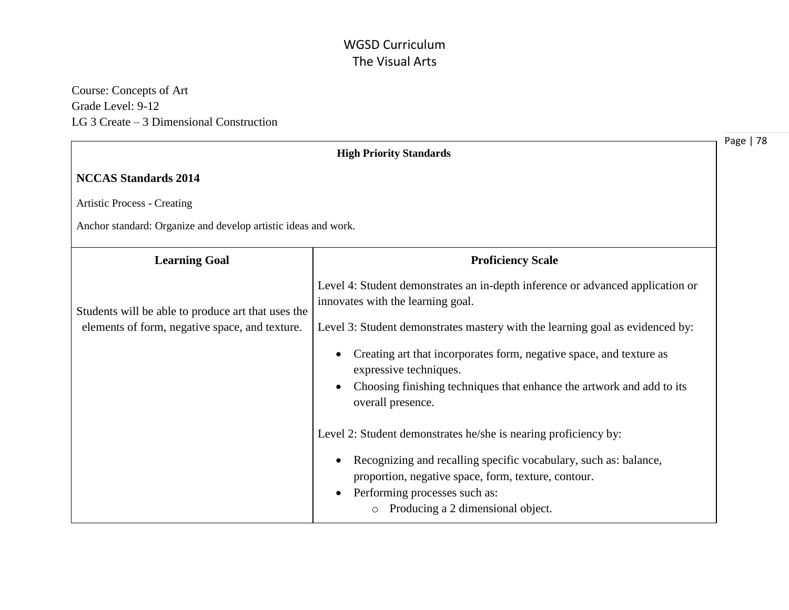Course: Concepts of Art Grade Level: 9-12 LG 3 Create – 3 Dimensional Construction

|                                                                | <b>High Priority Standards</b>                                                                                                                                                                                                     |
|----------------------------------------------------------------|------------------------------------------------------------------------------------------------------------------------------------------------------------------------------------------------------------------------------------|
| <b>NCCAS Standards 2014</b>                                    |                                                                                                                                                                                                                                    |
| <b>Artistic Process - Creating</b>                             |                                                                                                                                                                                                                                    |
| Anchor standard: Organize and develop artistic ideas and work. |                                                                                                                                                                                                                                    |
| <b>Learning Goal</b>                                           | <b>Proficiency Scale</b>                                                                                                                                                                                                           |
| Students will be able to produce art that uses the             | Level 4: Student demonstrates an in-depth inference or advanced application or<br>innovates with the learning goal.                                                                                                                |
| elements of form, negative space, and texture.                 | Level 3: Student demonstrates mastery with the learning goal as evidenced by:                                                                                                                                                      |
|                                                                | Creating art that incorporates form, negative space, and texture as<br>expressive techniques.                                                                                                                                      |
|                                                                | Choosing finishing techniques that enhance the artwork and add to its<br>$\bullet$<br>overall presence.                                                                                                                            |
|                                                                | Level 2: Student demonstrates he/she is nearing proficiency by:                                                                                                                                                                    |
|                                                                | Recognizing and recalling specific vocabulary, such as: balance,<br>$\bullet$<br>proportion, negative space, form, texture, contour.<br>Performing processes such as:<br>$\bullet$<br>Producing a 2 dimensional object.<br>$\circ$ |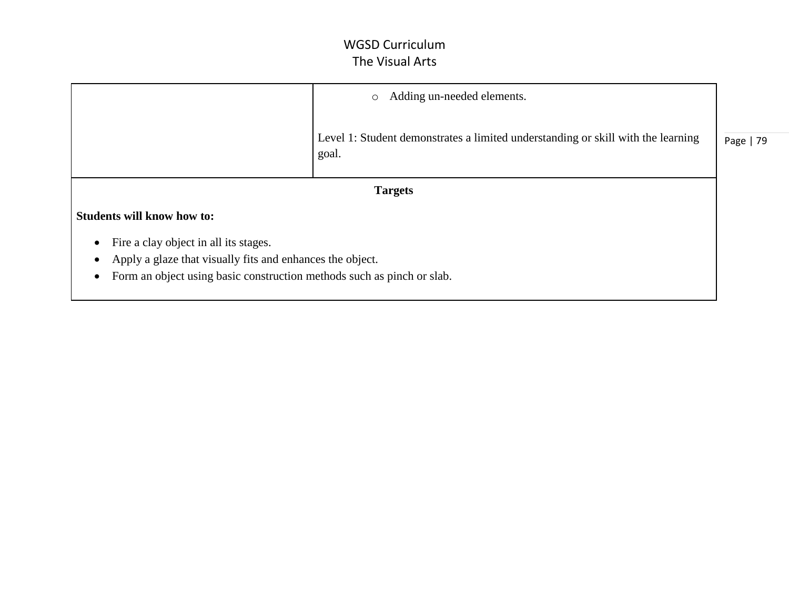|                                                                        | Adding un-needed elements.<br>$\circ$                                                     |           |
|------------------------------------------------------------------------|-------------------------------------------------------------------------------------------|-----------|
|                                                                        | Level 1: Student demonstrates a limited understanding or skill with the learning<br>goal. | Page   79 |
|                                                                        | <b>Targets</b>                                                                            |           |
| <b>Students will know how to:</b>                                      |                                                                                           |           |
| Fire a clay object in all its stages.                                  |                                                                                           |           |
| Apply a glaze that visually fits and enhances the object.              |                                                                                           |           |
| Form an object using basic construction methods such as pinch or slab. |                                                                                           |           |
|                                                                        |                                                                                           |           |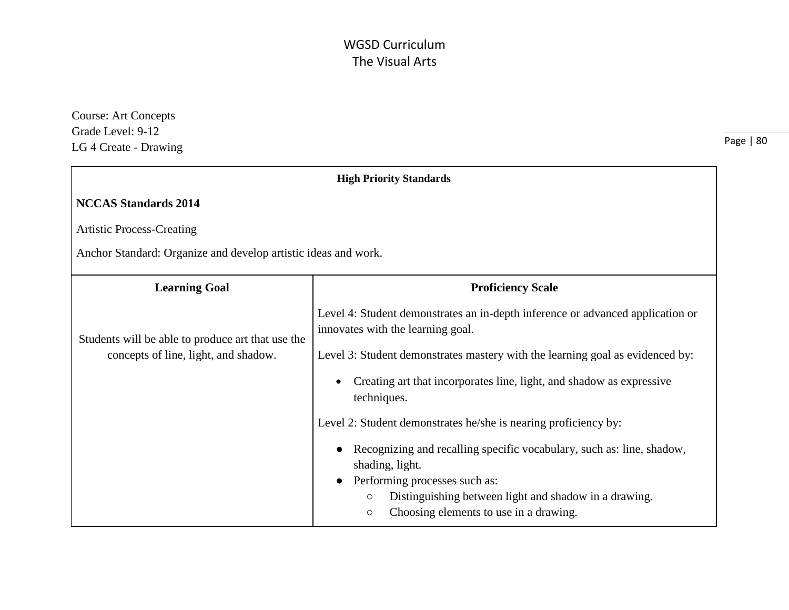Course: Art Concepts Grade Level: 9-12 LG 4 Create - Drawing

| <b>High Priority Standards</b>                                 |                                                                                                                       |
|----------------------------------------------------------------|-----------------------------------------------------------------------------------------------------------------------|
| <b>NCCAS Standards 2014</b>                                    |                                                                                                                       |
| <b>Artistic Process-Creating</b>                               |                                                                                                                       |
| Anchor Standard: Organize and develop artistic ideas and work. |                                                                                                                       |
| <b>Learning Goal</b>                                           | <b>Proficiency Scale</b>                                                                                              |
| Students will be able to produce art that use the              | Level 4: Student demonstrates an in-depth inference or advanced application or<br>innovates with the learning goal.   |
| concepts of line, light, and shadow.                           | Level 3: Student demonstrates mastery with the learning goal as evidenced by:                                         |
|                                                                | Creating art that incorporates line, light, and shadow as expressive<br>techniques.                                   |
|                                                                | Level 2: Student demonstrates he/she is nearing proficiency by:                                                       |
|                                                                | Recognizing and recalling specific vocabulary, such as: line, shadow,<br>shading, light.                              |
|                                                                | Performing processes such as:                                                                                         |
|                                                                | Distinguishing between light and shadow in a drawing.<br>$\circ$<br>Choosing elements to use in a drawing.<br>$\circ$ |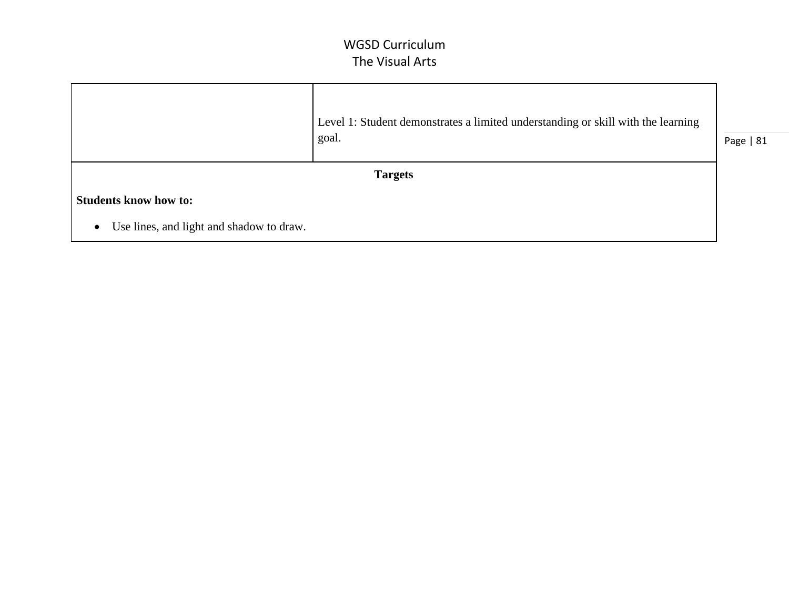|                                                       | Level 1: Student demonstrates a limited understanding or skill with the learning<br>goal. | Page   81 |
|-------------------------------------------------------|-------------------------------------------------------------------------------------------|-----------|
|                                                       | <b>Targets</b>                                                                            |           |
| <b>Students know how to:</b>                          |                                                                                           |           |
| Use lines, and light and shadow to draw.<br>$\bullet$ |                                                                                           |           |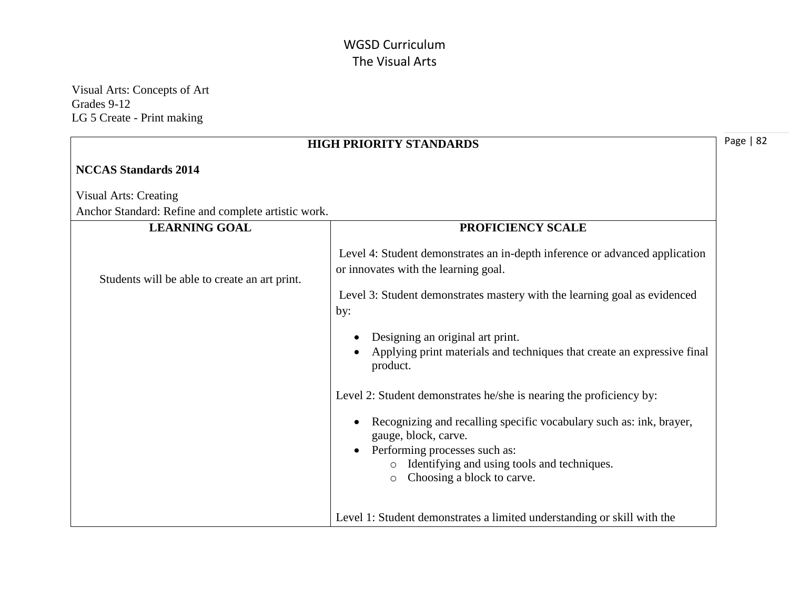Visual Arts: Concepts of Art Grades 9-12 LG 5 Create - Print making

| <b>HIGH PRIORITY STANDARDS</b>                      |                                                                                                                                           |
|-----------------------------------------------------|-------------------------------------------------------------------------------------------------------------------------------------------|
| <b>NCCAS Standards 2014</b>                         |                                                                                                                                           |
| <b>Visual Arts: Creating</b>                        |                                                                                                                                           |
| Anchor Standard: Refine and complete artistic work. |                                                                                                                                           |
| <b>LEARNING GOAL</b>                                | PROFICIENCY SCALE                                                                                                                         |
| Students will be able to create an art print.       | Level 4: Student demonstrates an in-depth inference or advanced application<br>or innovates with the learning goal.                       |
|                                                     | Level 3: Student demonstrates mastery with the learning goal as evidenced<br>by:                                                          |
|                                                     | Designing an original art print.<br>Applying print materials and techniques that create an expressive final<br>product.                   |
|                                                     | Level 2: Student demonstrates he/she is nearing the proficiency by:                                                                       |
|                                                     | Recognizing and recalling specific vocabulary such as: ink, brayer,<br>gauge, block, carve.<br>Performing processes such as:<br>$\bullet$ |
|                                                     | Identifying and using tools and techniques.<br>Choosing a block to carve.<br>$\circ$                                                      |
|                                                     | Level 1: Student demonstrates a limited understanding or skill with the                                                                   |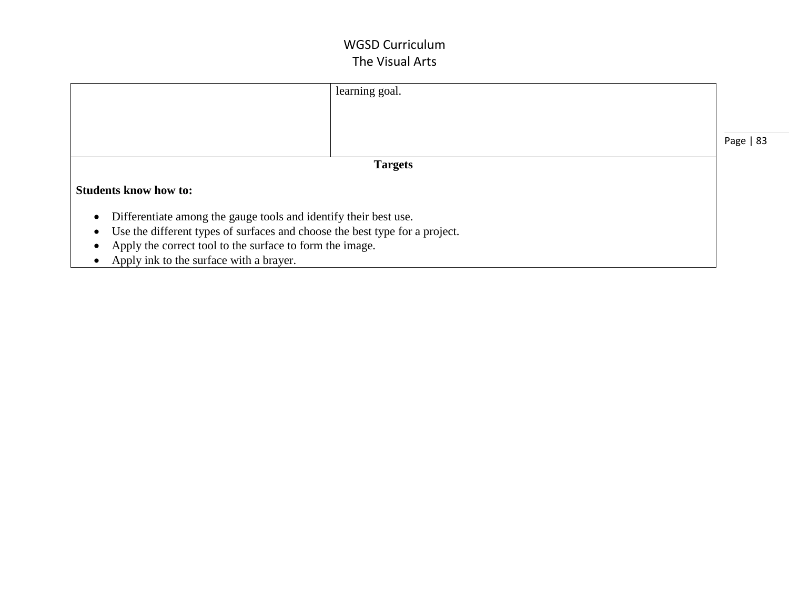|                                                                               | learning goal. |           |
|-------------------------------------------------------------------------------|----------------|-----------|
|                                                                               |                |           |
|                                                                               |                |           |
|                                                                               |                | Page   83 |
|                                                                               | <b>Targets</b> |           |
| <b>Students know how to:</b>                                                  |                |           |
| Differentiate among the gauge tools and identify their best use.<br>$\bullet$ |                |           |
| Use the different types of surfaces and choose the best type for a project.   |                |           |
| Apply the correct tool to the surface to form the image.                      |                |           |
| Apply ink to the surface with a brayer.                                       |                |           |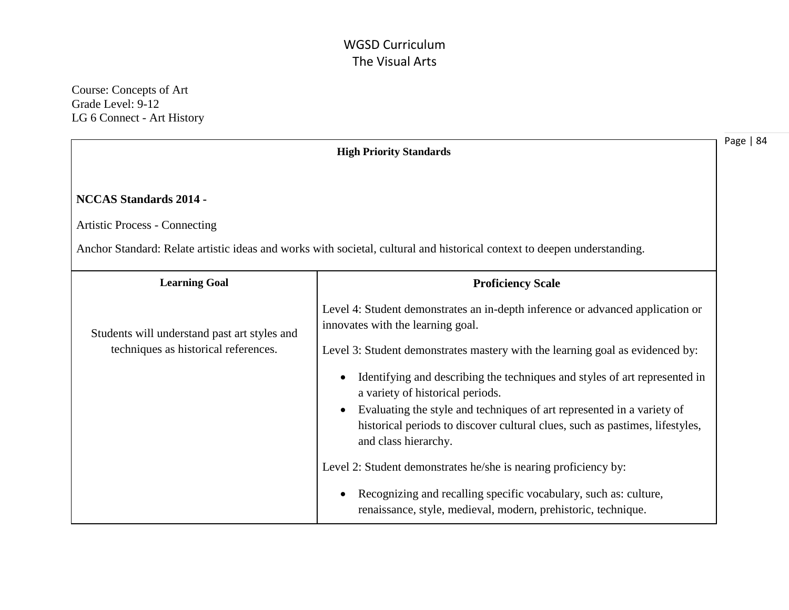Course: Concepts of Art Grade Level: 9-12 LG 6 Connect - Art History

|                                                                                      | <b>High Priority Standards</b>                                                                                                                                                                                                                                                                                                                                                                                                                                                                                                                                              | Page |
|--------------------------------------------------------------------------------------|-----------------------------------------------------------------------------------------------------------------------------------------------------------------------------------------------------------------------------------------------------------------------------------------------------------------------------------------------------------------------------------------------------------------------------------------------------------------------------------------------------------------------------------------------------------------------------|------|
| <b>NCCAS Standards 2014 -</b><br><b>Artistic Process - Connecting</b>                | Anchor Standard: Relate artistic ideas and works with societal, cultural and historical context to deepen understanding.                                                                                                                                                                                                                                                                                                                                                                                                                                                    |      |
| <b>Learning Goal</b>                                                                 | <b>Proficiency Scale</b>                                                                                                                                                                                                                                                                                                                                                                                                                                                                                                                                                    |      |
| Students will understand past art styles and<br>techniques as historical references. | Level 4: Student demonstrates an in-depth inference or advanced application or<br>innovates with the learning goal.<br>Level 3: Student demonstrates mastery with the learning goal as evidenced by:<br>Identifying and describing the techniques and styles of art represented in<br>a variety of historical periods.<br>Evaluating the style and techniques of art represented in a variety of<br>historical periods to discover cultural clues, such as pastimes, lifestyles,<br>and class hierarchy.<br>Level 2: Student demonstrates he/she is nearing proficiency by: |      |
|                                                                                      | Recognizing and recalling specific vocabulary, such as: culture,<br>renaissance, style, medieval, modern, prehistoric, technique.                                                                                                                                                                                                                                                                                                                                                                                                                                           |      |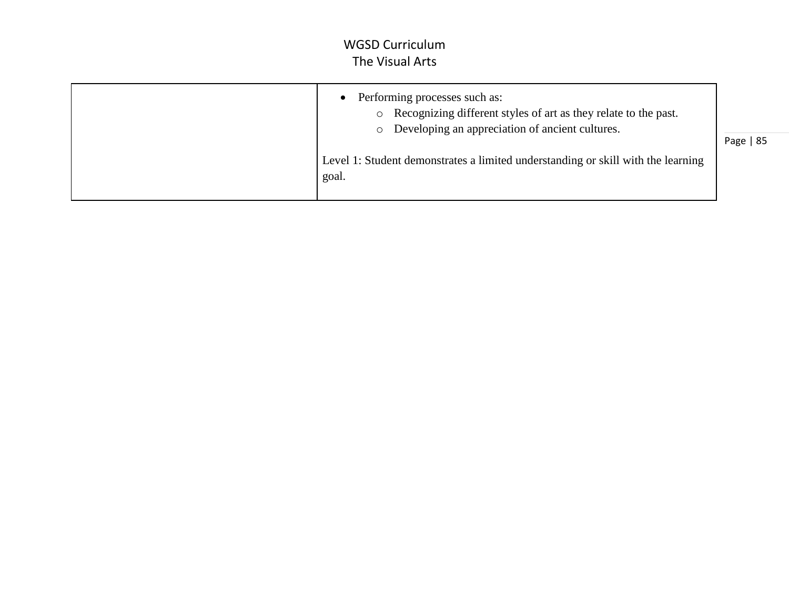| Performing processes such as:<br>Recognizing different styles of art as they relate to the past.<br>$\circ$<br>Developing an appreciation of ancient cultures. | Page   85 |
|----------------------------------------------------------------------------------------------------------------------------------------------------------------|-----------|
| Level 1: Student demonstrates a limited understanding or skill with the learning<br>goal.                                                                      |           |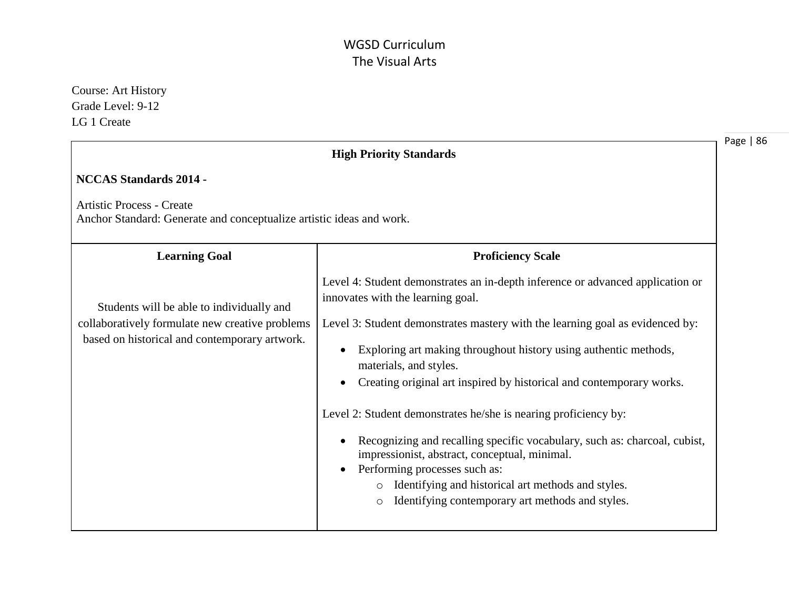| <b>Course: Art History</b><br>Grade Level: 9-12                                                          |                                                                                                                            |
|----------------------------------------------------------------------------------------------------------|----------------------------------------------------------------------------------------------------------------------------|
| LG 1 Create                                                                                              |                                                                                                                            |
|                                                                                                          | Page   86<br><b>High Priority Standards</b>                                                                                |
| <b>NCCAS Standards 2014 -</b>                                                                            |                                                                                                                            |
| <b>Artistic Process - Create</b><br>Anchor Standard: Generate and conceptualize artistic ideas and work. |                                                                                                                            |
| <b>Learning Goal</b>                                                                                     | <b>Proficiency Scale</b>                                                                                                   |
| Students will be able to individually and                                                                | Level 4: Student demonstrates an in-depth inference or advanced application or<br>innovates with the learning goal.        |
| collaboratively formulate new creative problems<br>based on historical and contemporary artwork.         | Level 3: Student demonstrates mastery with the learning goal as evidenced by:                                              |
|                                                                                                          | Exploring art making throughout history using authentic methods,<br>materials, and styles.                                 |
|                                                                                                          | Creating original art inspired by historical and contemporary works.<br>$\bullet$                                          |
|                                                                                                          | Level 2: Student demonstrates he/she is nearing proficiency by:                                                            |
|                                                                                                          | Recognizing and recalling specific vocabulary, such as: charcoal, cubist,<br>impressionist, abstract, conceptual, minimal. |
|                                                                                                          | Performing processes such as:<br>Identifying and historical art methods and styles.                                        |
|                                                                                                          | Identifying contemporary art methods and styles.<br>$\circ$                                                                |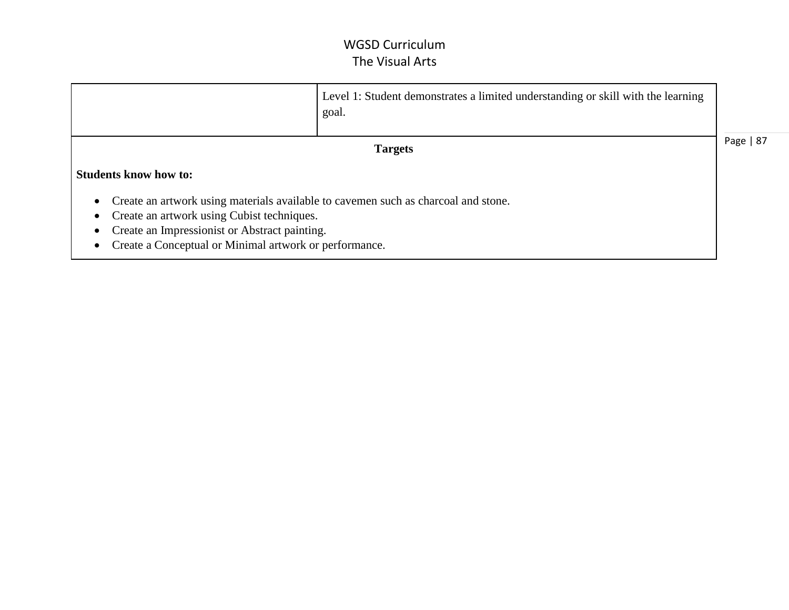|                                                                                                                                                                                                                                             | Level 1: Student demonstrates a limited understanding or skill with the learning<br>goal. |           |
|---------------------------------------------------------------------------------------------------------------------------------------------------------------------------------------------------------------------------------------------|-------------------------------------------------------------------------------------------|-----------|
|                                                                                                                                                                                                                                             | <b>Targets</b>                                                                            | Page   87 |
| <b>Students know how to:</b>                                                                                                                                                                                                                |                                                                                           |           |
| Create an artwork using materials available to cavemen such as charcoal and stone.<br>Create an artwork using Cubist techniques.<br>Create an Impressionist or Abstract painting.<br>Create a Conceptual or Minimal artwork or performance. |                                                                                           |           |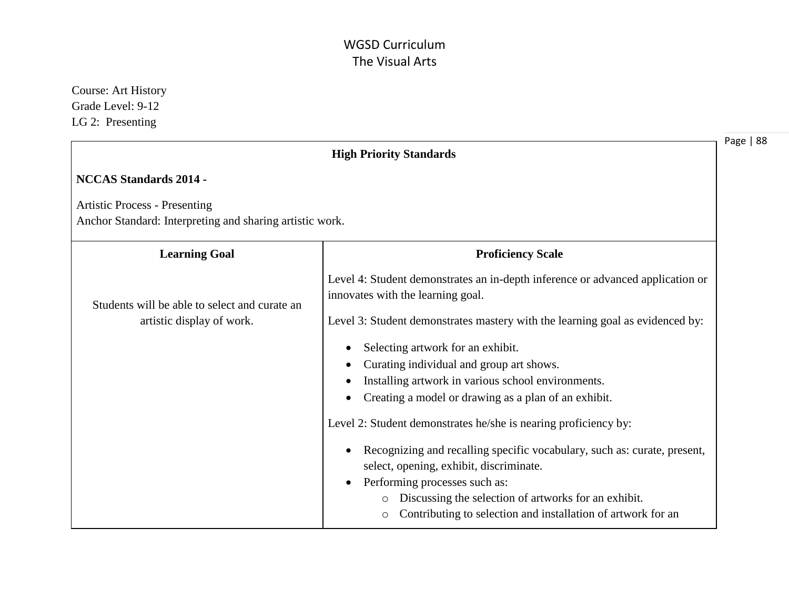Page | 88 Course: Art History Grade Level: 9-12 LG 2: Presenting **High Priority Standards NCCAS Standards 2014 -**  Artistic Process - Presenting Anchor Standard: Interpreting and sharing artistic work. **Learning Goal**  Students will be able to select and curate an artistic display of work. **Proficiency Scale** Level 4: Student demonstrates an in-depth inference or advanced application or innovates with the learning goal. Level 3: Student demonstrates mastery with the learning goal as evidenced by: • Selecting artwork for an exhibit. Curating individual and group art shows. • Installing artwork in various school environments. Creating a model or drawing as a plan of an exhibit. Level 2: Student demonstrates he/she is nearing proficiency by: Recognizing and recalling specific vocabulary, such as: curate, present, select, opening, exhibit, discriminate. • Performing processes such as: o Discussing the selection of artworks for an exhibit. o Contributing to selection and installation of artwork for an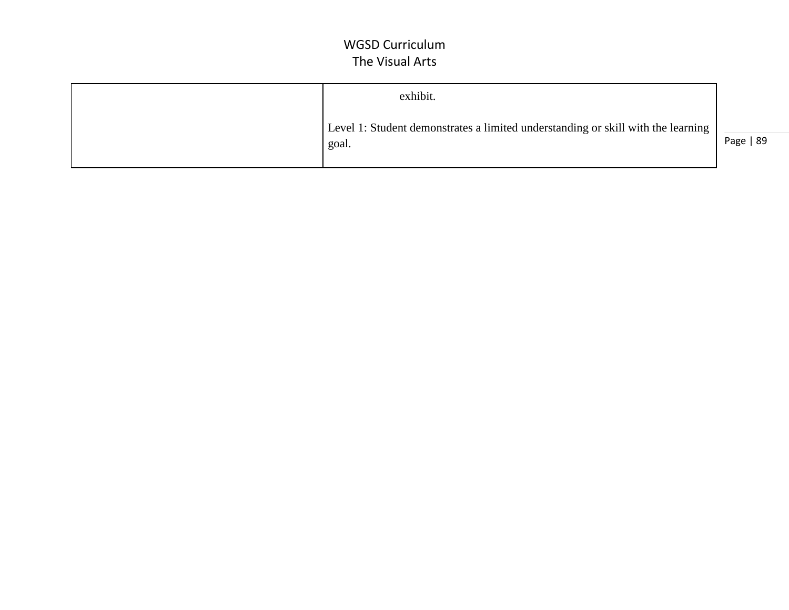| exhibit.                                                                                    |           |
|---------------------------------------------------------------------------------------------|-----------|
| Level 1: Student demonstrates a limited understanding or skill with the learning  <br>goal. | Page   89 |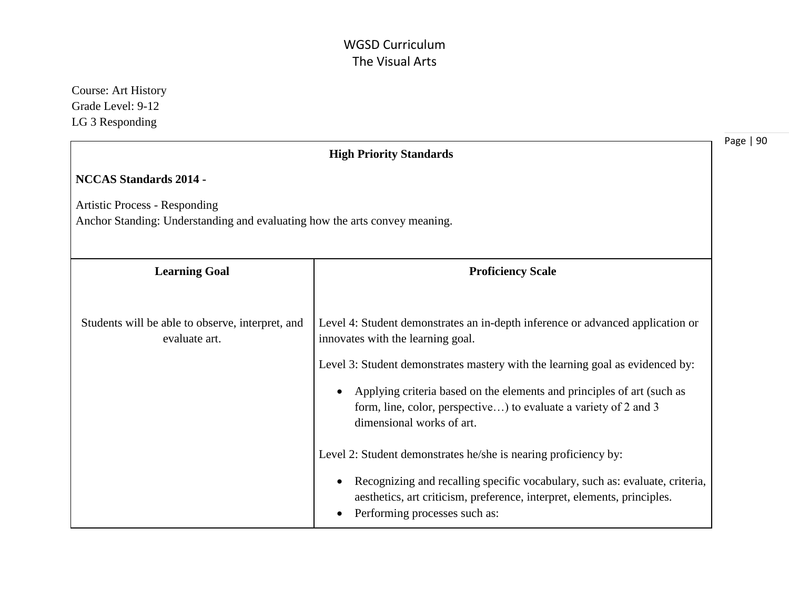| <b>Course: Art History</b><br>Grade Level: 9-12<br>LG 3 Responding                                                 |                                                                                                                                                                                                                                                                         |           |
|--------------------------------------------------------------------------------------------------------------------|-------------------------------------------------------------------------------------------------------------------------------------------------------------------------------------------------------------------------------------------------------------------------|-----------|
|                                                                                                                    | <b>High Priority Standards</b>                                                                                                                                                                                                                                          | Page   90 |
| <b>NCCAS Standards 2014 -</b>                                                                                      |                                                                                                                                                                                                                                                                         |           |
| <b>Artistic Process - Responding</b><br>Anchor Standing: Understanding and evaluating how the arts convey meaning. |                                                                                                                                                                                                                                                                         |           |
| <b>Learning Goal</b>                                                                                               | <b>Proficiency Scale</b>                                                                                                                                                                                                                                                |           |
| Students will be able to observe, interpret, and<br>evaluate art.                                                  | Level 4: Student demonstrates an in-depth inference or advanced application or<br>innovates with the learning goal.                                                                                                                                                     |           |
|                                                                                                                    | Level 3: Student demonstrates mastery with the learning goal as evidenced by:<br>Applying criteria based on the elements and principles of art (such as<br>form, line, color, perspective) to evaluate a variety of 2 and 3<br>dimensional works of art.                |           |
|                                                                                                                    | Level 2: Student demonstrates he/she is nearing proficiency by:<br>Recognizing and recalling specific vocabulary, such as: evaluate, criteria,<br>aesthetics, art criticism, preference, interpret, elements, principles.<br>Performing processes such as:<br>$\bullet$ |           |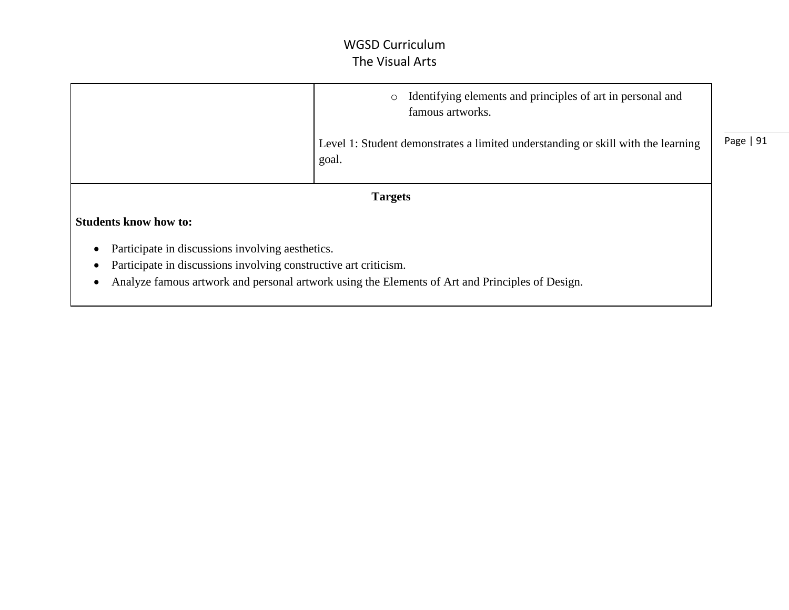|                                                                  | Identifying elements and principles of art in personal and<br>$\circ$<br>famous artworks.       |           |
|------------------------------------------------------------------|-------------------------------------------------------------------------------------------------|-----------|
|                                                                  | Level 1: Student demonstrates a limited understanding or skill with the learning<br>goal.       | Page   91 |
|                                                                  | <b>Targets</b>                                                                                  |           |
| <b>Students know how to:</b>                                     |                                                                                                 |           |
| Participate in discussions involving aesthetics.                 |                                                                                                 |           |
| Participate in discussions involving constructive art criticism. |                                                                                                 |           |
|                                                                  | Analyze famous artwork and personal artwork using the Elements of Art and Principles of Design. |           |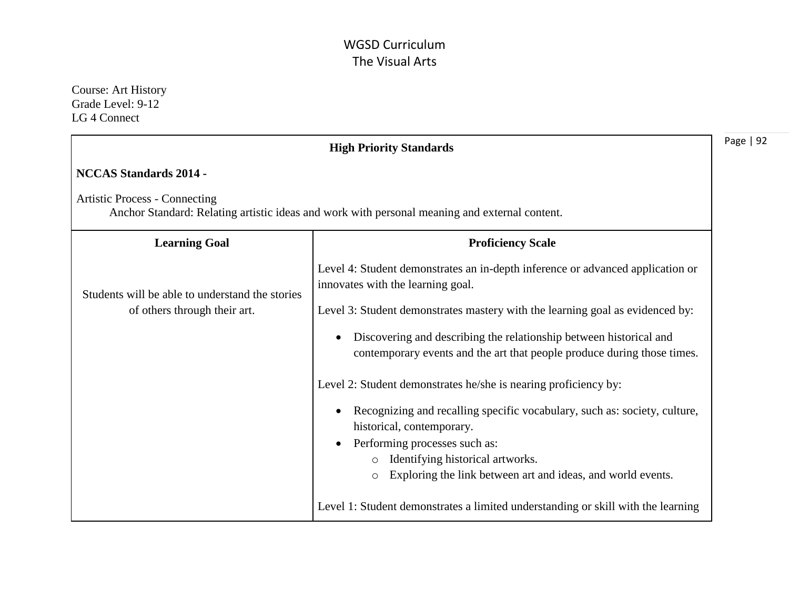Course: Art History Grade Level: 9-12 LG 4 Connect

|                                                 | <b>High Priority Standards</b>                                                                                                                             |
|-------------------------------------------------|------------------------------------------------------------------------------------------------------------------------------------------------------------|
| <b>NCCAS Standards 2014 -</b>                   |                                                                                                                                                            |
| <b>Artistic Process - Connecting</b>            | Anchor Standard: Relating artistic ideas and work with personal meaning and external content.                                                              |
| <b>Learning Goal</b>                            | <b>Proficiency Scale</b>                                                                                                                                   |
| Students will be able to understand the stories | Level 4: Student demonstrates an in-depth inference or advanced application or<br>innovates with the learning goal.                                        |
| of others through their art.                    | Level 3: Student demonstrates mastery with the learning goal as evidenced by:                                                                              |
|                                                 | Discovering and describing the relationship between historical and<br>$\bullet$<br>contemporary events and the art that people produce during those times. |
|                                                 | Level 2: Student demonstrates he/she is nearing proficiency by:                                                                                            |
|                                                 | Recognizing and recalling specific vocabulary, such as: society, culture,<br>historical, contemporary.                                                     |
|                                                 | Performing processes such as:                                                                                                                              |
|                                                 | Identifying historical artworks.<br>$\circ$<br>Exploring the link between art and ideas, and world events.                                                 |
|                                                 | Level 1: Student demonstrates a limited understanding or skill with the learning                                                                           |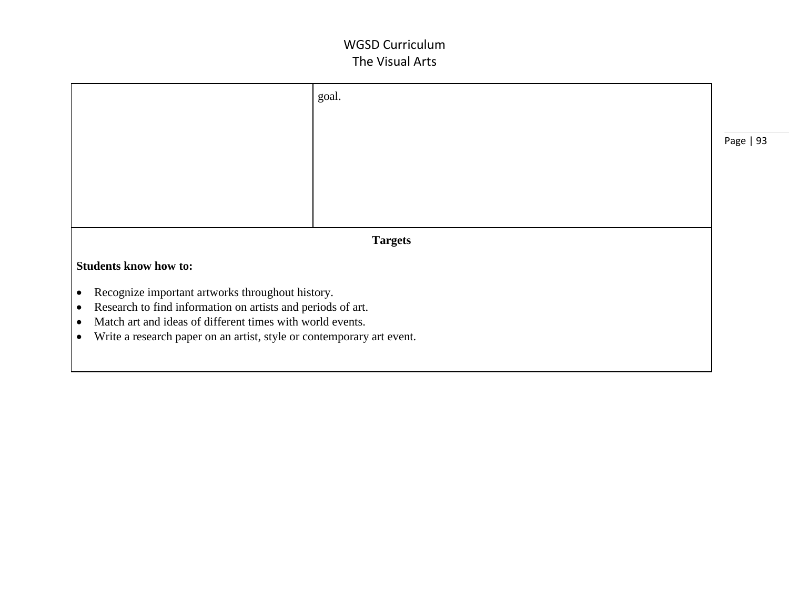|                                                                                    | goal.          |           |
|------------------------------------------------------------------------------------|----------------|-----------|
|                                                                                    |                |           |
|                                                                                    |                | Page   93 |
|                                                                                    |                |           |
|                                                                                    |                |           |
|                                                                                    | <b>Targets</b> |           |
| <b>Students know how to:</b>                                                       |                |           |
| Recognize important artworks throughout history.<br>$\bullet$                      |                |           |
| Research to find information on artists and periods of art.<br>$\bullet$           |                |           |
| Match art and ideas of different times with world events.<br>$\bullet$             |                |           |
| Write a research paper on an artist, style or contemporary art event.<br>$\bullet$ |                |           |
|                                                                                    |                |           |
|                                                                                    |                |           |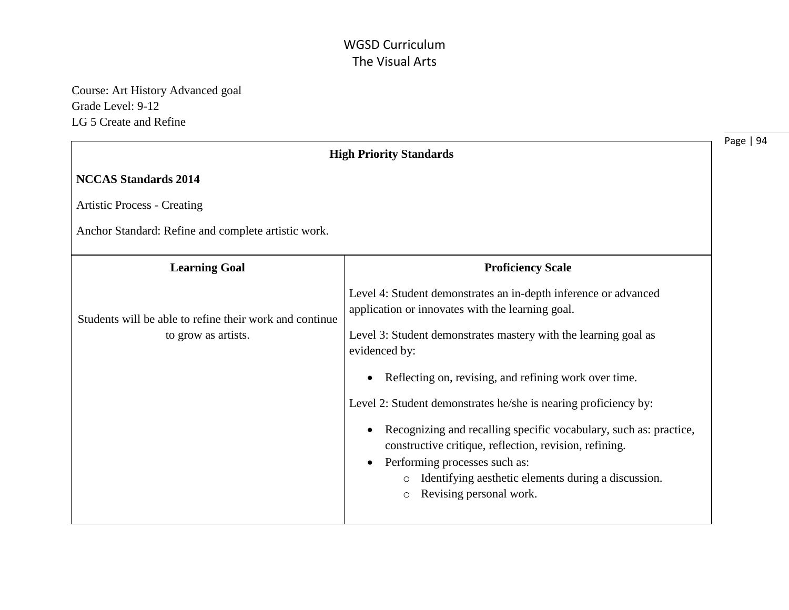Course: Art History Advanced goal Grade Level: 9-12 LG 5 Create and Refine

|                                                                                                                                                                                                                                                                      | Page   94                      |
|----------------------------------------------------------------------------------------------------------------------------------------------------------------------------------------------------------------------------------------------------------------------|--------------------------------|
|                                                                                                                                                                                                                                                                      |                                |
|                                                                                                                                                                                                                                                                      |                                |
|                                                                                                                                                                                                                                                                      |                                |
| <b>Proficiency Scale</b>                                                                                                                                                                                                                                             |                                |
| Level 4: Student demonstrates an in-depth inference or advanced<br>application or innovates with the learning goal.                                                                                                                                                  |                                |
| Level 3: Student demonstrates mastery with the learning goal as<br>evidenced by:                                                                                                                                                                                     |                                |
| Reflecting on, revising, and refining work over time.                                                                                                                                                                                                                |                                |
| Level 2: Student demonstrates he/she is nearing proficiency by:                                                                                                                                                                                                      |                                |
| Recognizing and recalling specific vocabulary, such as: practice,<br>constructive critique, reflection, revision, refining.<br>Performing processes such as:<br>Identifying aesthetic elements during a discussion.<br>$\circ$<br>Revising personal work.<br>$\circ$ |                                |
|                                                                                                                                                                                                                                                                      | <b>High Priority Standards</b> |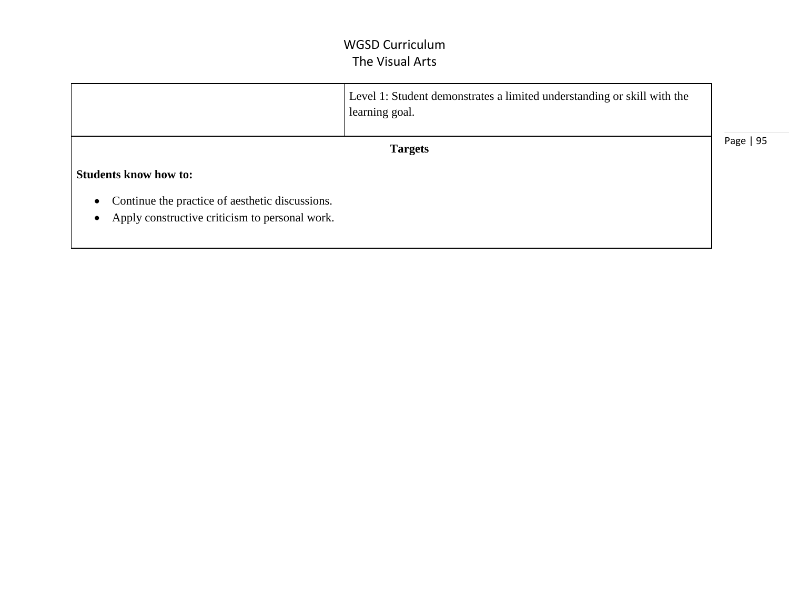|                                                                                                   | Level 1: Student demonstrates a limited understanding or skill with the<br>learning goal. |           |
|---------------------------------------------------------------------------------------------------|-------------------------------------------------------------------------------------------|-----------|
|                                                                                                   | <b>Targets</b>                                                                            | Page   95 |
| <b>Students know how to:</b>                                                                      |                                                                                           |           |
| Continue the practice of aesthetic discussions.<br>Apply constructive criticism to personal work. |                                                                                           |           |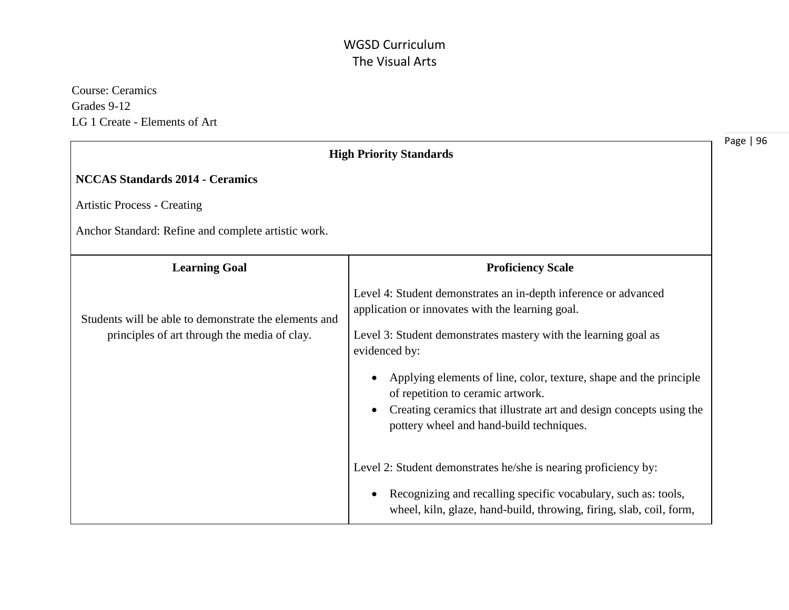Course: Ceramics Grades 9-12 LG 1 Create - Elements of Art

|                                                                                                       | <b>High Priority Standards</b>                                                                                                        |
|-------------------------------------------------------------------------------------------------------|---------------------------------------------------------------------------------------------------------------------------------------|
| <b>NCCAS Standards 2014 - Ceramics</b>                                                                |                                                                                                                                       |
| <b>Artistic Process - Creating</b>                                                                    |                                                                                                                                       |
| Anchor Standard: Refine and complete artistic work.                                                   |                                                                                                                                       |
| <b>Learning Goal</b>                                                                                  | <b>Proficiency Scale</b>                                                                                                              |
| Students will be able to demonstrate the elements and<br>principles of art through the media of clay. | Level 4: Student demonstrates an in-depth inference or advanced<br>application or innovates with the learning goal.                   |
|                                                                                                       | Level 3: Student demonstrates mastery with the learning goal as<br>evidenced by:                                                      |
|                                                                                                       | Applying elements of line, color, texture, shape and the principle<br>of repetition to ceramic artwork.                               |
|                                                                                                       | Creating ceramics that illustrate art and design concepts using the<br>pottery wheel and hand-build techniques.                       |
|                                                                                                       | Level 2: Student demonstrates he/she is nearing proficiency by:                                                                       |
|                                                                                                       | Recognizing and recalling specific vocabulary, such as: tools,<br>wheel, kiln, glaze, hand-build, throwing, firing, slab, coil, form, |

e | 96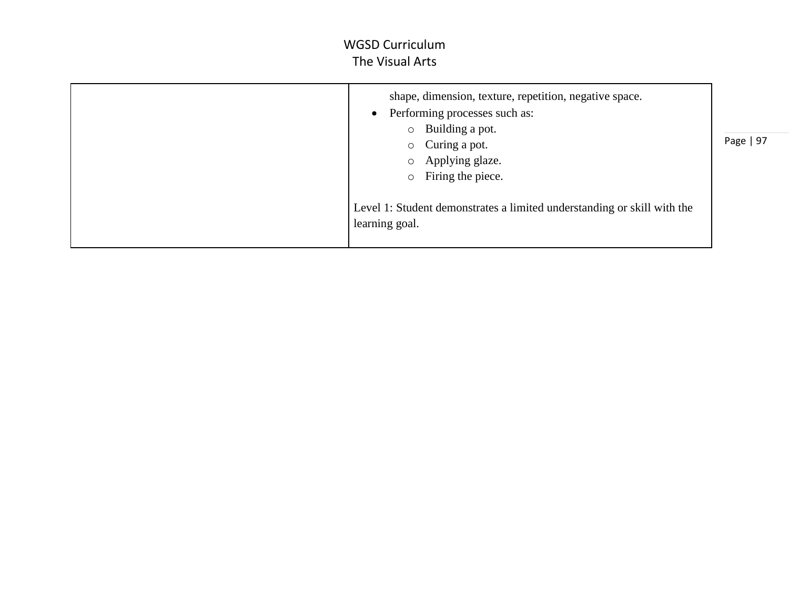| shape, dimension, texture, repetition, negative space.<br>Performing processes such as:<br>$\bullet$<br>Building a pot.<br>$\circ$                                                  |           |
|-------------------------------------------------------------------------------------------------------------------------------------------------------------------------------------|-----------|
| Curing a pot.<br>$\circ$<br>Applying glaze.<br>$\circ$<br>Firing the piece.<br>$\circ$<br>Level 1: Student demonstrates a limited understanding or skill with the<br>learning goal. | Page   97 |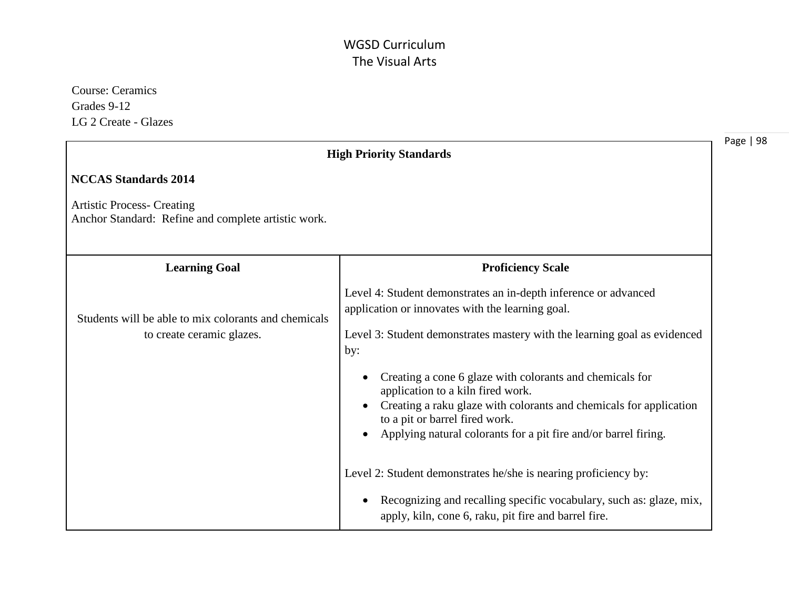Course: Ceramics Grades 9-12 LG 2 Create - Glazes

|                                                                                          | <b>High Priority Standards</b>                                                                                                                                                                                                                                      |
|------------------------------------------------------------------------------------------|---------------------------------------------------------------------------------------------------------------------------------------------------------------------------------------------------------------------------------------------------------------------|
| <b>NCCAS Standards 2014</b>                                                              |                                                                                                                                                                                                                                                                     |
| <b>Artistic Process- Creating</b><br>Anchor Standard: Refine and complete artistic work. |                                                                                                                                                                                                                                                                     |
| <b>Learning Goal</b>                                                                     | <b>Proficiency Scale</b>                                                                                                                                                                                                                                            |
| Students will be able to mix colorants and chemicals<br>to create ceramic glazes.        | Level 4: Student demonstrates an in-depth inference or advanced<br>application or innovates with the learning goal.<br>Level 3: Student demonstrates mastery with the learning goal as evidenced<br>by:<br>Creating a cone 6 glaze with colorants and chemicals for |
|                                                                                          | application to a kiln fired work.<br>Creating a raku glaze with colorants and chemicals for application<br>to a pit or barrel fired work.<br>Applying natural colorants for a pit fire and/or barrel firing.                                                        |
|                                                                                          | Level 2: Student demonstrates he/she is nearing proficiency by:<br>Recognizing and recalling specific vocabulary, such as: glaze, mix,<br>apply, kiln, cone 6, raku, pit fire and barrel fire.                                                                      |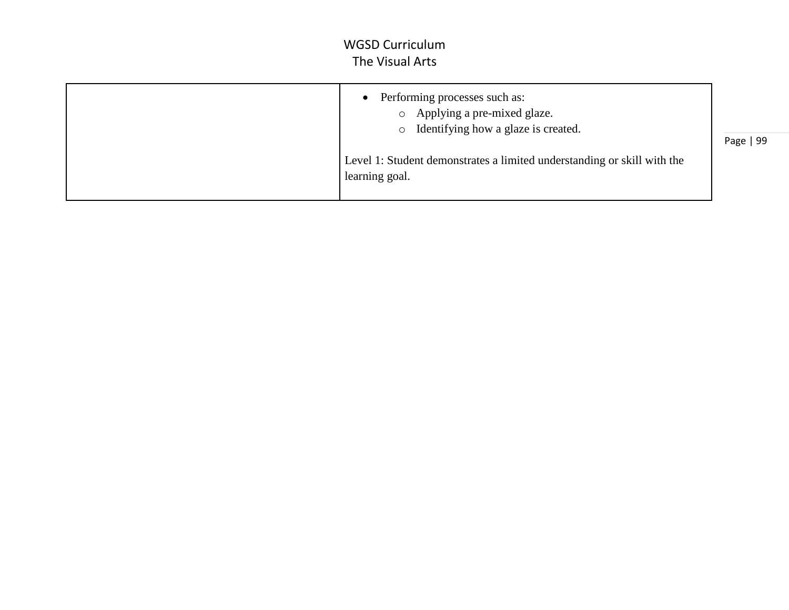|  | Performing processes such as:<br>o Applying a pre-mixed glaze.<br>o Identifying how a glaze is created.<br>Level 1: Student demonstrates a limited understanding or skill with the<br>learning goal. | Page   99 |
|--|------------------------------------------------------------------------------------------------------------------------------------------------------------------------------------------------------|-----------|
|--|------------------------------------------------------------------------------------------------------------------------------------------------------------------------------------------------------|-----------|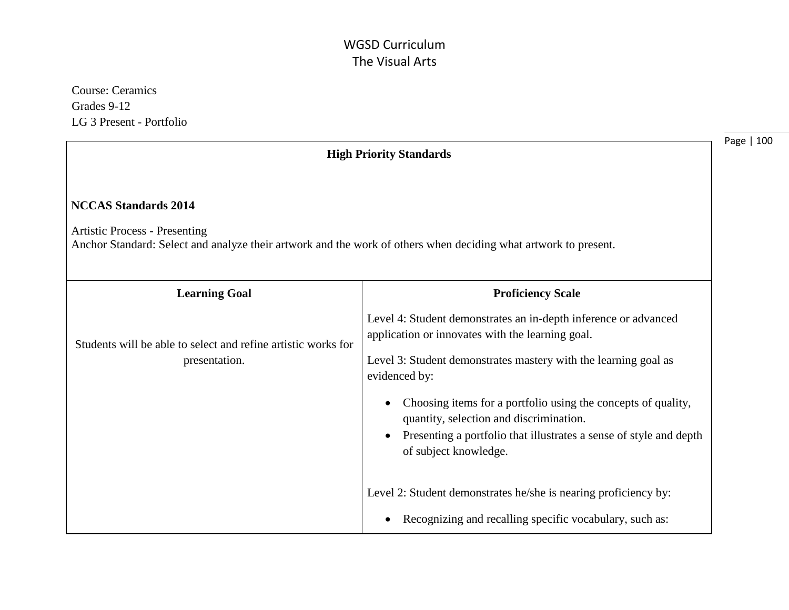Course: Ceramics Grades 9-12 LG 3 Present - Portfolio

|                                                                                                                                                                                        | <b>High Priority Standards</b>                                                                                                                                                                          | Page   100 |
|----------------------------------------------------------------------------------------------------------------------------------------------------------------------------------------|---------------------------------------------------------------------------------------------------------------------------------------------------------------------------------------------------------|------------|
| <b>NCCAS Standards 2014</b><br><b>Artistic Process - Presenting</b><br>Anchor Standard: Select and analyze their artwork and the work of others when deciding what artwork to present. |                                                                                                                                                                                                         |            |
| <b>Learning Goal</b>                                                                                                                                                                   | <b>Proficiency Scale</b>                                                                                                                                                                                |            |
| Students will be able to select and refine artistic works for<br>presentation.                                                                                                         | Level 4: Student demonstrates an in-depth inference or advanced<br>application or innovates with the learning goal.<br>Level 3: Student demonstrates mastery with the learning goal as<br>evidenced by: |            |
|                                                                                                                                                                                        | Choosing items for a portfolio using the concepts of quality,<br>quantity, selection and discrimination.<br>Presenting a portfolio that illustrates a sense of style and depth<br>of subject knowledge. |            |
|                                                                                                                                                                                        | Level 2: Student demonstrates he/she is nearing proficiency by:<br>Recognizing and recalling specific vocabulary, such as:                                                                              |            |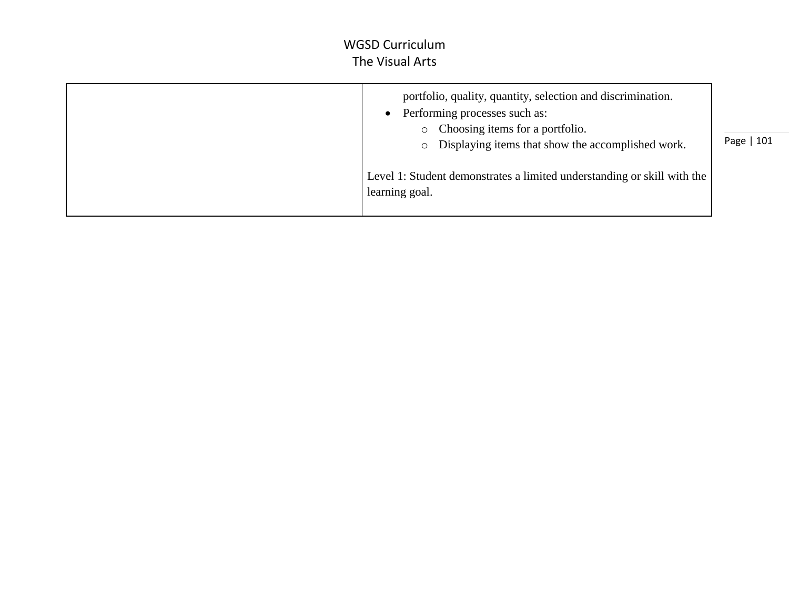| portfolio, quality, quantity, selection and discrimination.<br>Performing processes such as:<br>• Choosing items for a portfolio.<br>• Displaying items that show the accomplished work. | Page   101 |
|------------------------------------------------------------------------------------------------------------------------------------------------------------------------------------------|------------|
| Level 1: Student demonstrates a limited understanding or skill with the<br>learning goal.                                                                                                |            |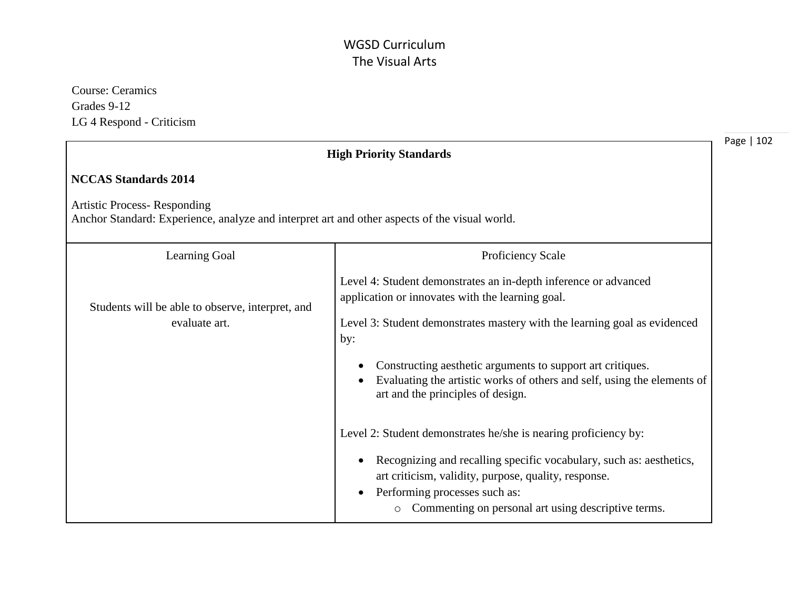Course: Ceramics Grades 9-12 LG 4 Respond - Criticism

|                                                                                                                                     | <b>High Priority Standards</b>                                                                                                                                                                                                                                                                    | Page   102 |
|-------------------------------------------------------------------------------------------------------------------------------------|---------------------------------------------------------------------------------------------------------------------------------------------------------------------------------------------------------------------------------------------------------------------------------------------------|------------|
| <b>NCCAS Standards 2014</b>                                                                                                         |                                                                                                                                                                                                                                                                                                   |            |
| <b>Artistic Process-Responding</b><br>Anchor Standard: Experience, analyze and interpret art and other aspects of the visual world. |                                                                                                                                                                                                                                                                                                   |            |
| Learning Goal                                                                                                                       | Proficiency Scale                                                                                                                                                                                                                                                                                 |            |
| Students will be able to observe, interpret, and<br>evaluate art.                                                                   | Level 4: Student demonstrates an in-depth inference or advanced<br>application or innovates with the learning goal.<br>Level 3: Student demonstrates mastery with the learning goal as evidenced<br>by:                                                                                           |            |
|                                                                                                                                     | Constructing aesthetic arguments to support art critiques.<br>Evaluating the artistic works of others and self, using the elements of<br>art and the principles of design.                                                                                                                        |            |
|                                                                                                                                     | Level 2: Student demonstrates he/she is nearing proficiency by:<br>Recognizing and recalling specific vocabulary, such as: aesthetics,<br>art criticism, validity, purpose, quality, response.<br>Performing processes such as:<br>Commenting on personal art using descriptive terms.<br>$\circ$ |            |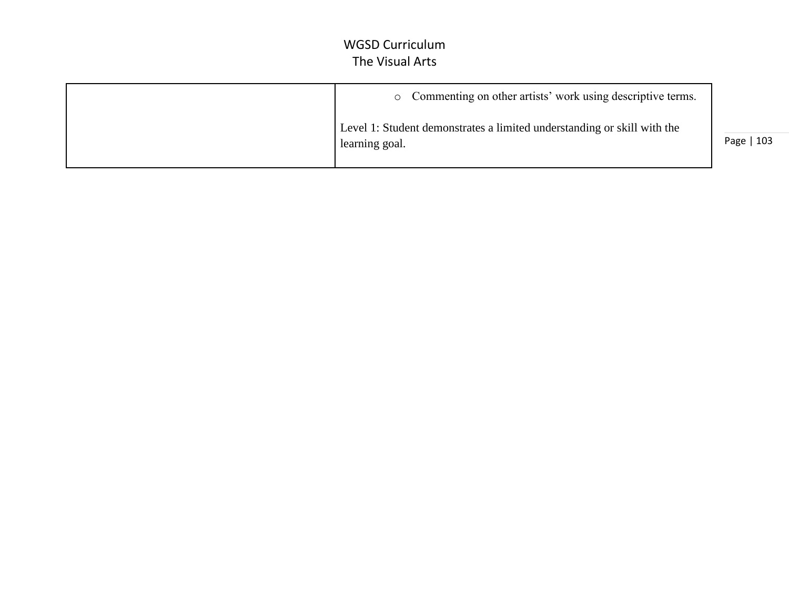| • Commenting on other artists' work using descriptive terms.                              |            |
|-------------------------------------------------------------------------------------------|------------|
| Level 1: Student demonstrates a limited understanding or skill with the<br>learning goal. | Page   103 |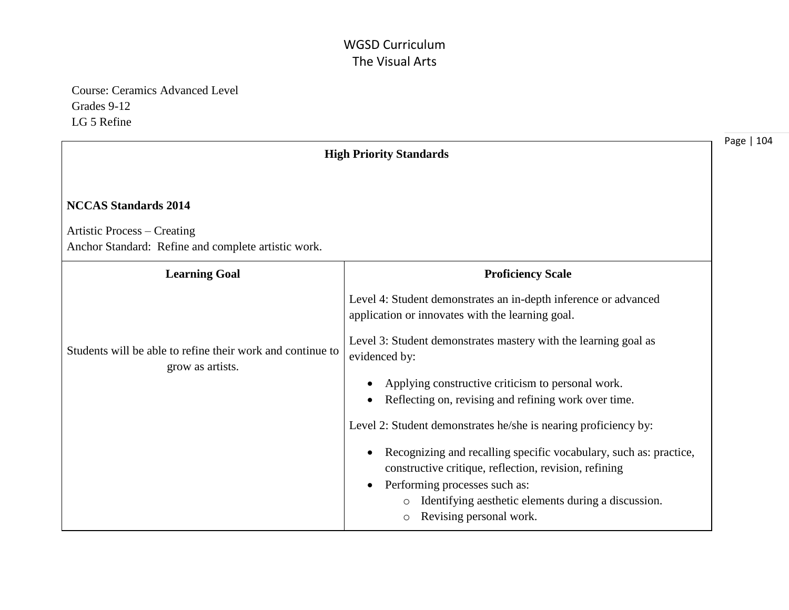Course: Ceramics Advanced Level Grades 9-12 LG 5 Refine

|                                                                                    | <b>High Priority Standards</b>                                                                                                                                                                                                                           | Page   104 |
|------------------------------------------------------------------------------------|----------------------------------------------------------------------------------------------------------------------------------------------------------------------------------------------------------------------------------------------------------|------------|
| <b>NCCAS Standards 2014</b>                                                        |                                                                                                                                                                                                                                                          |            |
| Artistic Process – Creating<br>Anchor Standard: Refine and complete artistic work. |                                                                                                                                                                                                                                                          |            |
| <b>Learning Goal</b>                                                               | <b>Proficiency Scale</b>                                                                                                                                                                                                                                 |            |
|                                                                                    | Level 4: Student demonstrates an in-depth inference or advanced<br>application or innovates with the learning goal.                                                                                                                                      |            |
| Students will be able to refine their work and continue to<br>grow as artists.     | Level 3: Student demonstrates mastery with the learning goal as<br>evidenced by:                                                                                                                                                                         |            |
|                                                                                    | Applying constructive criticism to personal work.<br>Reflecting on, revising and refining work over time.                                                                                                                                                |            |
|                                                                                    | Level 2: Student demonstrates he/she is nearing proficiency by:                                                                                                                                                                                          |            |
|                                                                                    | Recognizing and recalling specific vocabulary, such as: practice,<br>constructive critique, reflection, revision, refining<br>Performing processes such as:<br>Identifying aesthetic elements during a discussion.<br>Revising personal work.<br>$\circ$ |            |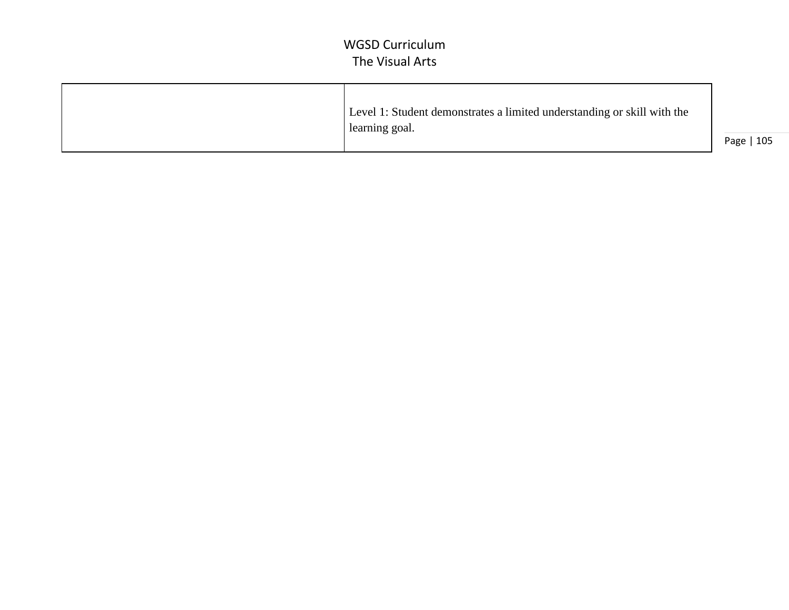| Level 1: Student demonstrates a limited understanding or skill with the |            |
|-------------------------------------------------------------------------|------------|
| learning goal.                                                          | Page   105 |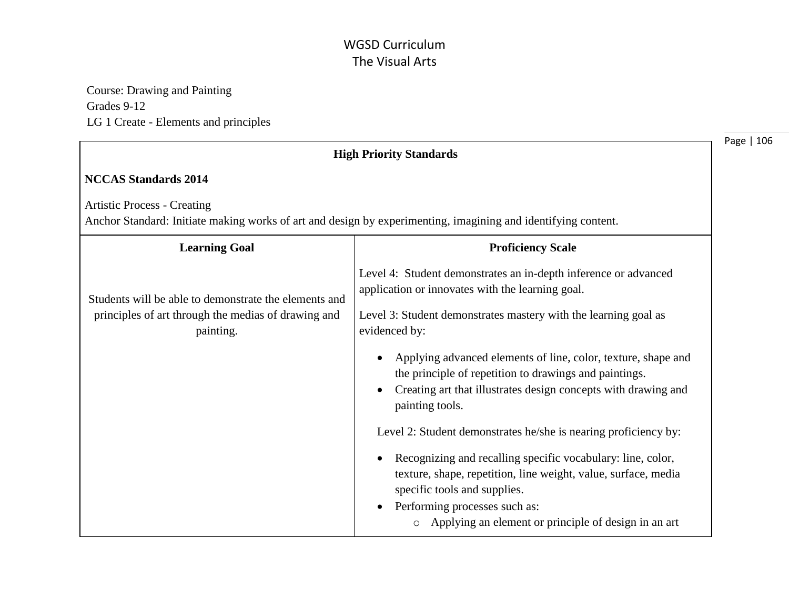Course: Drawing and Painting Grades 9-12 LG 1 Create - Elements and principles

| <b>High Priority Standards</b>                                                                                                                                                                                                                                                                                                                                                                                                                                                                                                                                                                                                                                                               | Page   106                                                      |
|----------------------------------------------------------------------------------------------------------------------------------------------------------------------------------------------------------------------------------------------------------------------------------------------------------------------------------------------------------------------------------------------------------------------------------------------------------------------------------------------------------------------------------------------------------------------------------------------------------------------------------------------------------------------------------------------|-----------------------------------------------------------------|
|                                                                                                                                                                                                                                                                                                                                                                                                                                                                                                                                                                                                                                                                                              |                                                                 |
| Anchor Standard: Initiate making works of art and design by experimenting, imagining and identifying content.                                                                                                                                                                                                                                                                                                                                                                                                                                                                                                                                                                                |                                                                 |
| <b>Proficiency Scale</b>                                                                                                                                                                                                                                                                                                                                                                                                                                                                                                                                                                                                                                                                     |                                                                 |
| Level 4: Student demonstrates an in-depth inference or advanced<br>application or innovates with the learning goal.<br>Level 3: Student demonstrates mastery with the learning goal as<br>evidenced by:<br>Applying advanced elements of line, color, texture, shape and<br>the principle of repetition to drawings and paintings.<br>Creating art that illustrates design concepts with drawing and<br>painting tools.<br>Level 2: Student demonstrates he/she is nearing proficiency by:<br>Recognizing and recalling specific vocabulary: line, color,<br>texture, shape, repetition, line weight, value, surface, media<br>specific tools and supplies.<br>Performing processes such as: |                                                                 |
|                                                                                                                                                                                                                                                                                                                                                                                                                                                                                                                                                                                                                                                                                              | Applying an element or principle of design in an art<br>$\circ$ |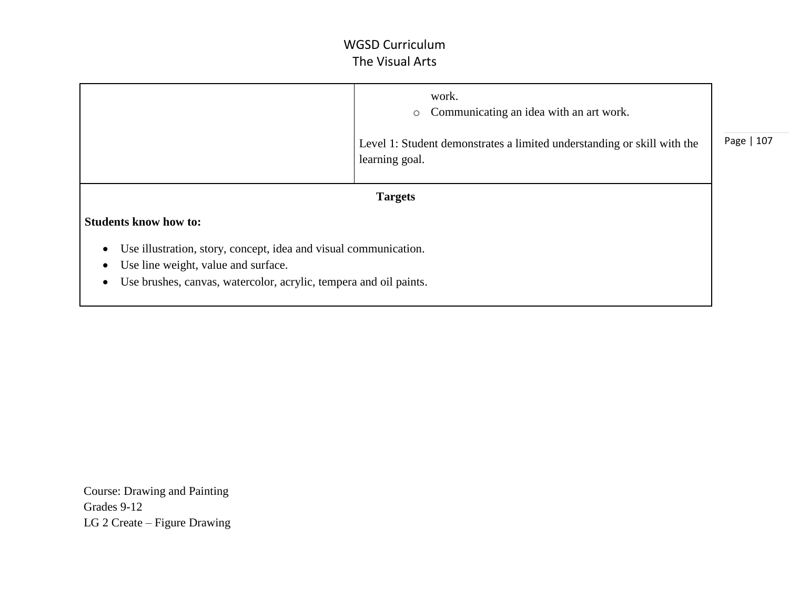|                                                                                                          | work.<br>Communicating an idea with an art work.<br>$\circ$<br>Level 1: Student demonstrates a limited understanding or skill with the | Page   107 |
|----------------------------------------------------------------------------------------------------------|----------------------------------------------------------------------------------------------------------------------------------------|------------|
|                                                                                                          | learning goal.                                                                                                                         |            |
| <b>Targets</b>                                                                                           |                                                                                                                                        |            |
| <b>Students know how to:</b>                                                                             |                                                                                                                                        |            |
| Use illustration, story, concept, idea and visual communication.                                         |                                                                                                                                        |            |
| Use line weight, value and surface.<br>Use brushes, canvas, watercolor, acrylic, tempera and oil paints. |                                                                                                                                        |            |
| $\bullet$                                                                                                |                                                                                                                                        |            |

 Course: Drawing and Painting Grades 9-12 LG 2 Create – Figure Drawing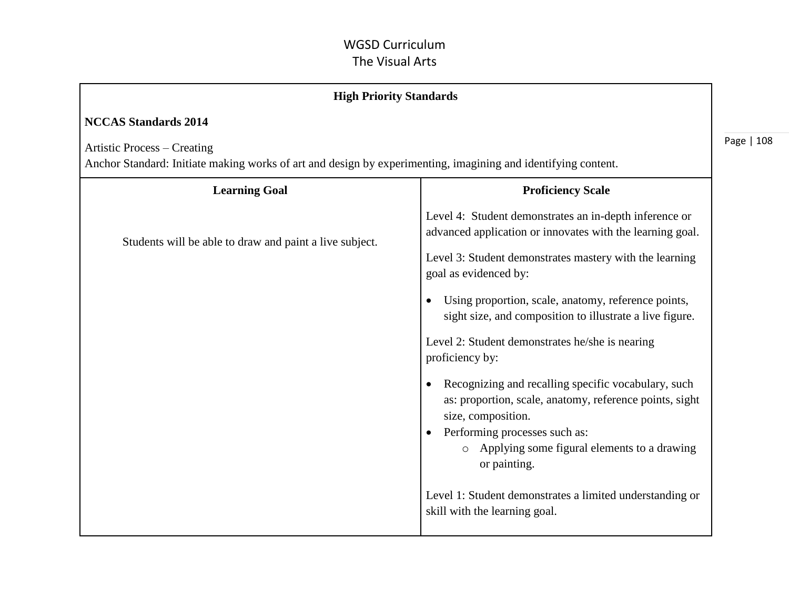| <b>High Priority Standards</b>                                                                                                                      |                                                                                                                                                                                                                                                                                                                                                                                                                                                                                                                                                                                                                                                                                                                                                                                |            |
|-----------------------------------------------------------------------------------------------------------------------------------------------------|--------------------------------------------------------------------------------------------------------------------------------------------------------------------------------------------------------------------------------------------------------------------------------------------------------------------------------------------------------------------------------------------------------------------------------------------------------------------------------------------------------------------------------------------------------------------------------------------------------------------------------------------------------------------------------------------------------------------------------------------------------------------------------|------------|
| <b>NCCAS Standards 2014</b>                                                                                                                         |                                                                                                                                                                                                                                                                                                                                                                                                                                                                                                                                                                                                                                                                                                                                                                                |            |
| <b>Artistic Process – Creating</b><br>Anchor Standard: Initiate making works of art and design by experimenting, imagining and identifying content. |                                                                                                                                                                                                                                                                                                                                                                                                                                                                                                                                                                                                                                                                                                                                                                                | Page   108 |
| <b>Learning Goal</b>                                                                                                                                | <b>Proficiency Scale</b>                                                                                                                                                                                                                                                                                                                                                                                                                                                                                                                                                                                                                                                                                                                                                       |            |
| Students will be able to draw and paint a live subject.                                                                                             | Level 4: Student demonstrates an in-depth inference or<br>advanced application or innovates with the learning goal.<br>Level 3: Student demonstrates mastery with the learning<br>goal as evidenced by:<br>Using proportion, scale, anatomy, reference points,<br>$\bullet$<br>sight size, and composition to illustrate a live figure.<br>Level 2: Student demonstrates he/she is nearing<br>proficiency by:<br>Recognizing and recalling specific vocabulary, such<br>$\bullet$<br>as: proportion, scale, anatomy, reference points, sight<br>size, composition.<br>Performing processes such as:<br>$\bullet$<br>o Applying some figural elements to a drawing<br>or painting.<br>Level 1: Student demonstrates a limited understanding or<br>skill with the learning goal. |            |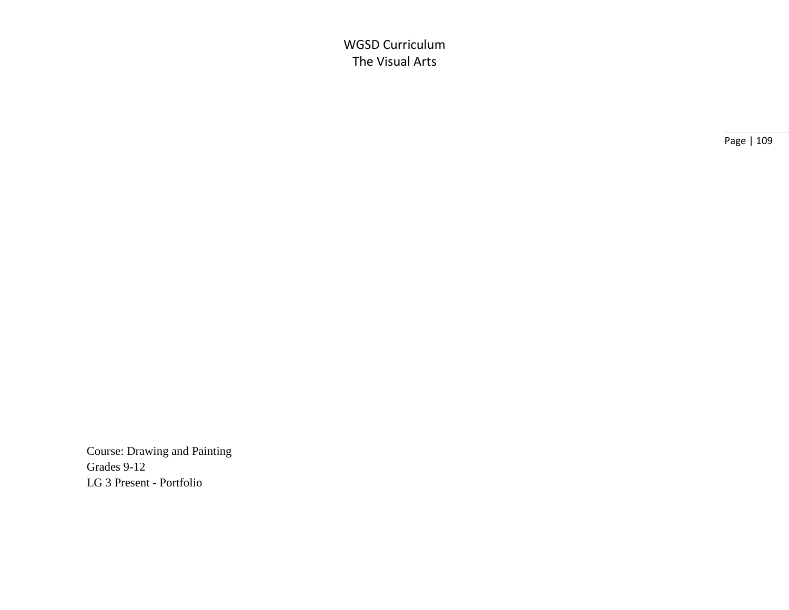Page | 109

 Course: Drawing and Painting Grades 9-12 LG 3 Present - Portfolio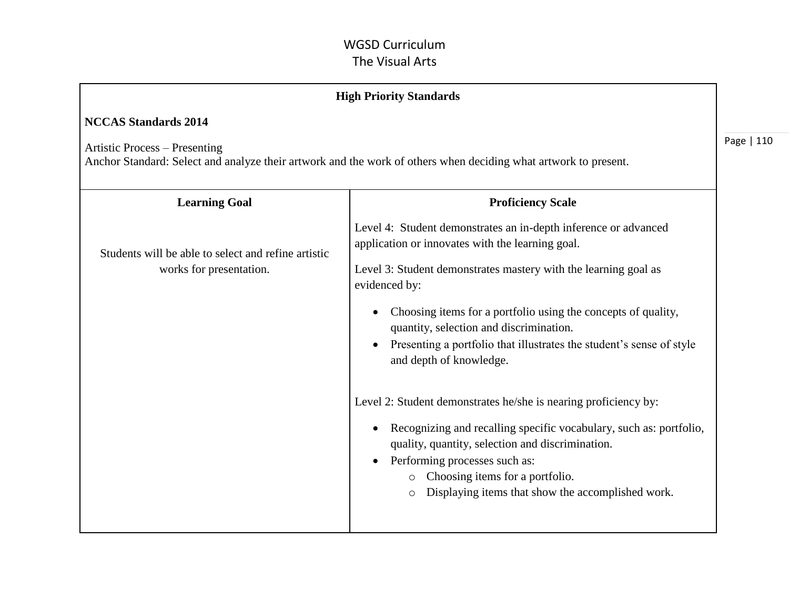|                                                                                | <b>High Priority Standards</b>                                                                                                                                                                                                                                                                                                                                                                                                                                                                                                                                                                                                                                                                                                                            |      |
|--------------------------------------------------------------------------------|-----------------------------------------------------------------------------------------------------------------------------------------------------------------------------------------------------------------------------------------------------------------------------------------------------------------------------------------------------------------------------------------------------------------------------------------------------------------------------------------------------------------------------------------------------------------------------------------------------------------------------------------------------------------------------------------------------------------------------------------------------------|------|
| <b>NCCAS Standards 2014</b>                                                    |                                                                                                                                                                                                                                                                                                                                                                                                                                                                                                                                                                                                                                                                                                                                                           |      |
| Artistic Process – Presenting                                                  | Anchor Standard: Select and analyze their artwork and the work of others when deciding what artwork to present.                                                                                                                                                                                                                                                                                                                                                                                                                                                                                                                                                                                                                                           | Page |
| <b>Learning Goal</b>                                                           | <b>Proficiency Scale</b>                                                                                                                                                                                                                                                                                                                                                                                                                                                                                                                                                                                                                                                                                                                                  |      |
| Students will be able to select and refine artistic<br>works for presentation. | Level 4: Student demonstrates an in-depth inference or advanced<br>application or innovates with the learning goal.<br>Level 3: Student demonstrates mastery with the learning goal as<br>evidenced by:<br>Choosing items for a portfolio using the concepts of quality,<br>quantity, selection and discrimination.<br>Presenting a portfolio that illustrates the student's sense of style<br>and depth of knowledge.<br>Level 2: Student demonstrates he/she is nearing proficiency by:<br>Recognizing and recalling specific vocabulary, such as: portfolio,<br>quality, quantity, selection and discrimination.<br>Performing processes such as:<br>o Choosing items for a portfolio.<br>Displaying items that show the accomplished work.<br>$\circ$ |      |
|                                                                                |                                                                                                                                                                                                                                                                                                                                                                                                                                                                                                                                                                                                                                                                                                                                                           |      |

**110**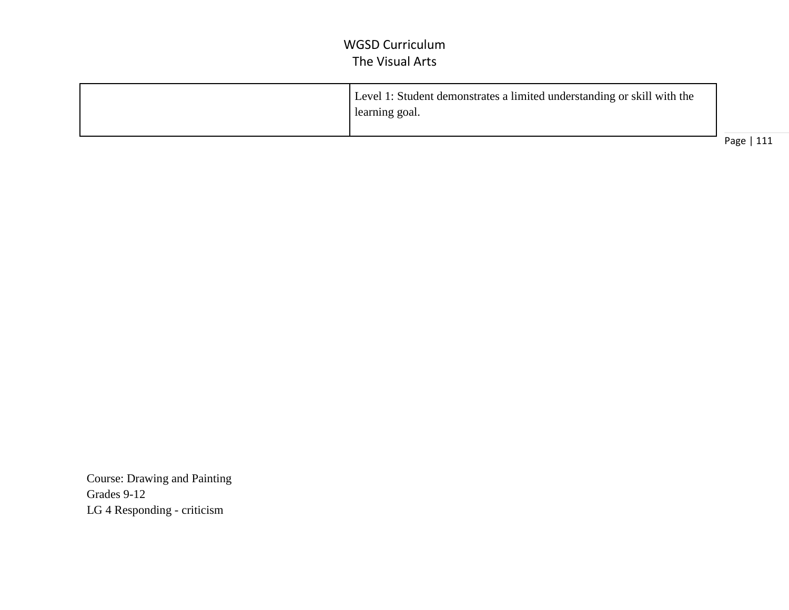| Level 1: Student demonstrates a limited understanding or skill with the<br>learning goal. |                          |
|-------------------------------------------------------------------------------------------|--------------------------|
|                                                                                           | Page <sup>1</sup><br>111 |

 Course: Drawing and Painting Grades 9-12 LG 4 Responding - criticism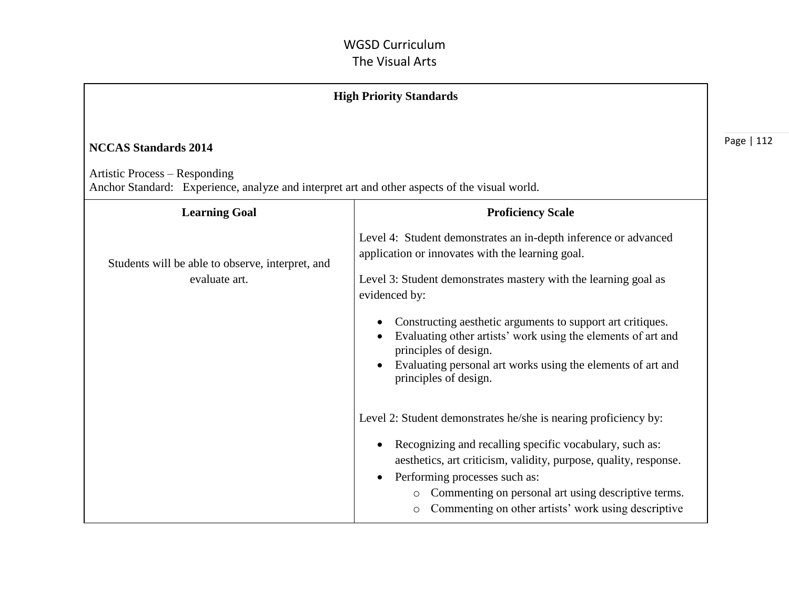| <b>High Priority Standards</b>                                                                                                                                |                                                                                                                                                                                                                                                                                                                                                                                                                                                                     |      |
|---------------------------------------------------------------------------------------------------------------------------------------------------------------|---------------------------------------------------------------------------------------------------------------------------------------------------------------------------------------------------------------------------------------------------------------------------------------------------------------------------------------------------------------------------------------------------------------------------------------------------------------------|------|
| <b>NCCAS Standards 2014</b><br>Artistic Process – Responding<br>Anchor Standard: Experience, analyze and interpret art and other aspects of the visual world. |                                                                                                                                                                                                                                                                                                                                                                                                                                                                     | Page |
| <b>Learning Goal</b>                                                                                                                                          | <b>Proficiency Scale</b>                                                                                                                                                                                                                                                                                                                                                                                                                                            |      |
| Students will be able to observe, interpret, and<br>evaluate art.                                                                                             | Level 4: Student demonstrates an in-depth inference or advanced<br>application or innovates with the learning goal.<br>Level 3: Student demonstrates mastery with the learning goal as<br>evidenced by:<br>Constructing aesthetic arguments to support art critiques.<br>$\bullet$<br>Evaluating other artists' work using the elements of art and<br>principles of design.<br>Evaluating personal art works using the elements of art and<br>principles of design. |      |
|                                                                                                                                                               | Level 2: Student demonstrates he/she is nearing proficiency by:<br>Recognizing and recalling specific vocabulary, such as:<br>aesthetics, art criticism, validity, purpose, quality, response.<br>Performing processes such as:<br>Commenting on personal art using descriptive terms.<br>$\circ$<br>Commenting on other artists' work using descriptive<br>$\circ$                                                                                                 |      |

 $|112\rangle$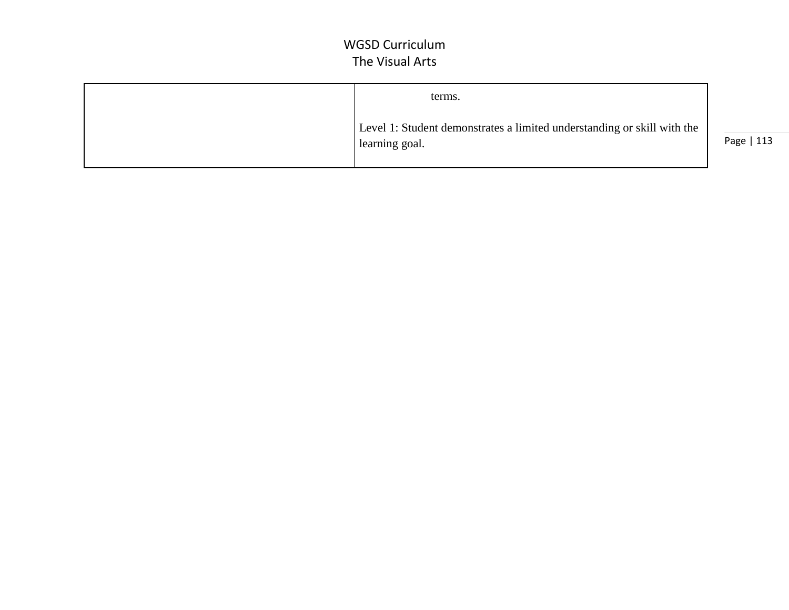| terms.                                                                                    |  |
|-------------------------------------------------------------------------------------------|--|
| Level 1: Student demonstrates a limited understanding or skill with the<br>learning goal. |  |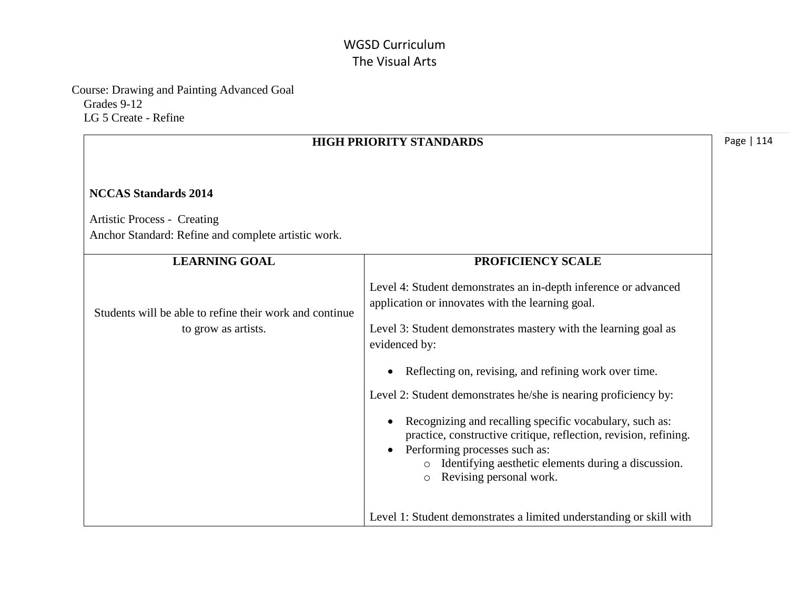Course: Drawing and Painting Advanced Goal Grades 9-12 LG 5 Create - Refine

|                                                                                                                          | <b>HIGH PRIORITY STANDARDS</b>                                                                                                                                                                                                                                                                                                                                                                                                                                                                                                                                                                     | Page   114 |
|--------------------------------------------------------------------------------------------------------------------------|----------------------------------------------------------------------------------------------------------------------------------------------------------------------------------------------------------------------------------------------------------------------------------------------------------------------------------------------------------------------------------------------------------------------------------------------------------------------------------------------------------------------------------------------------------------------------------------------------|------------|
| <b>NCCAS Standards 2014</b><br><b>Artistic Process - Creating</b><br>Anchor Standard: Refine and complete artistic work. |                                                                                                                                                                                                                                                                                                                                                                                                                                                                                                                                                                                                    |            |
| <b>LEARNING GOAL</b>                                                                                                     | PROFICIENCY SCALE                                                                                                                                                                                                                                                                                                                                                                                                                                                                                                                                                                                  |            |
| Students will be able to refine their work and continue<br>to grow as artists.                                           | Level 4: Student demonstrates an in-depth inference or advanced<br>application or innovates with the learning goal.<br>Level 3: Student demonstrates mastery with the learning goal as<br>evidenced by:<br>Reflecting on, revising, and refining work over time.<br>Level 2: Student demonstrates he/she is nearing proficiency by:<br>Recognizing and recalling specific vocabulary, such as:<br>practice, constructive critique, reflection, revision, refining.<br>Performing processes such as:<br>o Identifying aesthetic elements during a discussion.<br>Revising personal work.<br>$\circ$ |            |
|                                                                                                                          | Level 1: Student demonstrates a limited understanding or skill with                                                                                                                                                                                                                                                                                                                                                                                                                                                                                                                                |            |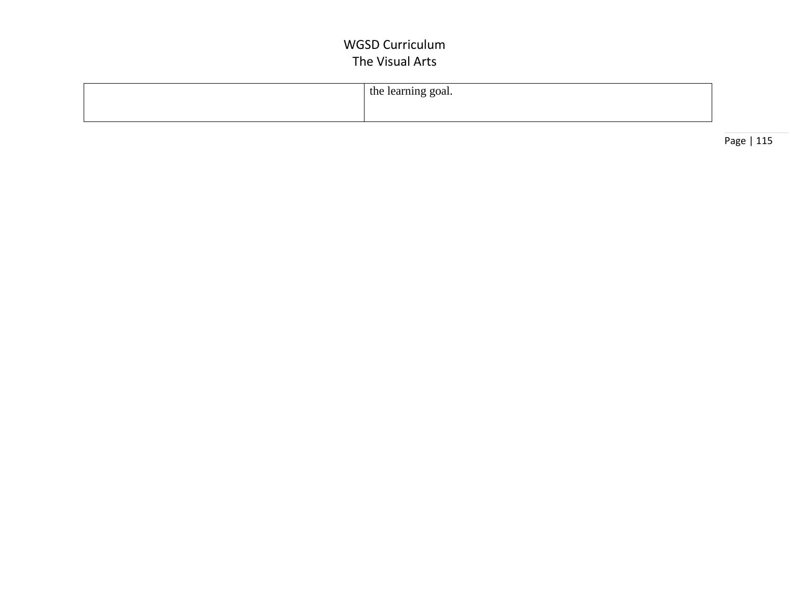| the learning goal. |
|--------------------|
|                    |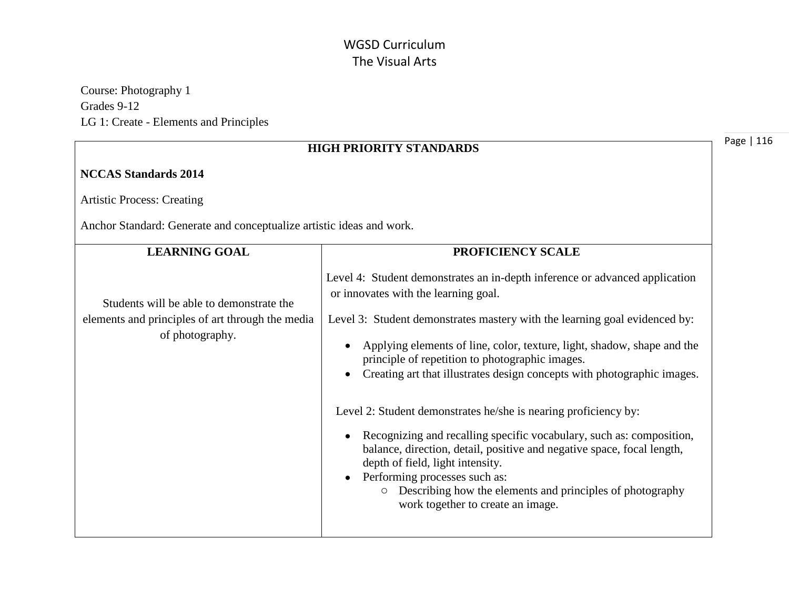Course: Photography 1 Grades 9-12 LG 1: Create - Elements and Principles

|                                                                                                                 | Pa<br><b>HIGH PRIORITY STANDARDS</b>                                                                                                                                                                                                                                                                                                                                                                                                                                                                                                                                                                                                                                                                 |
|-----------------------------------------------------------------------------------------------------------------|------------------------------------------------------------------------------------------------------------------------------------------------------------------------------------------------------------------------------------------------------------------------------------------------------------------------------------------------------------------------------------------------------------------------------------------------------------------------------------------------------------------------------------------------------------------------------------------------------------------------------------------------------------------------------------------------------|
| <b>NCCAS Standards 2014</b>                                                                                     |                                                                                                                                                                                                                                                                                                                                                                                                                                                                                                                                                                                                                                                                                                      |
| <b>Artistic Process: Creating</b>                                                                               |                                                                                                                                                                                                                                                                                                                                                                                                                                                                                                                                                                                                                                                                                                      |
| Anchor Standard: Generate and conceptualize artistic ideas and work.                                            |                                                                                                                                                                                                                                                                                                                                                                                                                                                                                                                                                                                                                                                                                                      |
| <b>LEARNING GOAL</b>                                                                                            | PROFICIENCY SCALE                                                                                                                                                                                                                                                                                                                                                                                                                                                                                                                                                                                                                                                                                    |
| Students will be able to demonstrate the<br>elements and principles of art through the media<br>of photography. | Level 4: Student demonstrates an in-depth inference or advanced application<br>or innovates with the learning goal.<br>Level 3: Student demonstrates mastery with the learning goal evidenced by:<br>Applying elements of line, color, texture, light, shadow, shape and the<br>principle of repetition to photographic images.<br>Creating art that illustrates design concepts with photographic images.<br>Level 2: Student demonstrates he/she is nearing proficiency by:<br>Recognizing and recalling specific vocabulary, such as: composition,<br>balance, direction, detail, positive and negative space, focal length,<br>depth of field, light intensity.<br>Performing processes such as: |
|                                                                                                                 | Describing how the elements and principles of photography<br>$\circ$<br>work together to create an image.                                                                                                                                                                                                                                                                                                                                                                                                                                                                                                                                                                                            |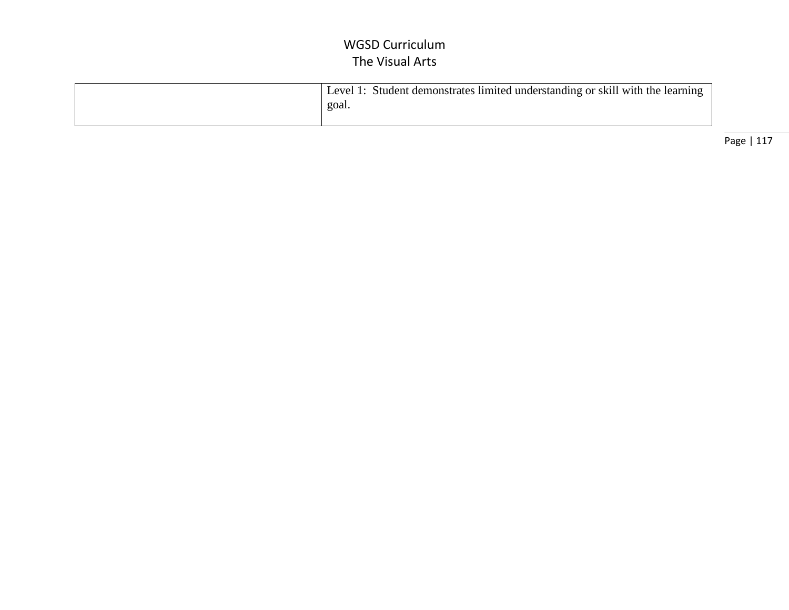| Level 1: Student demonstrates limited understanding or skill with the learning |
|--------------------------------------------------------------------------------|
| goal.                                                                          |
|                                                                                |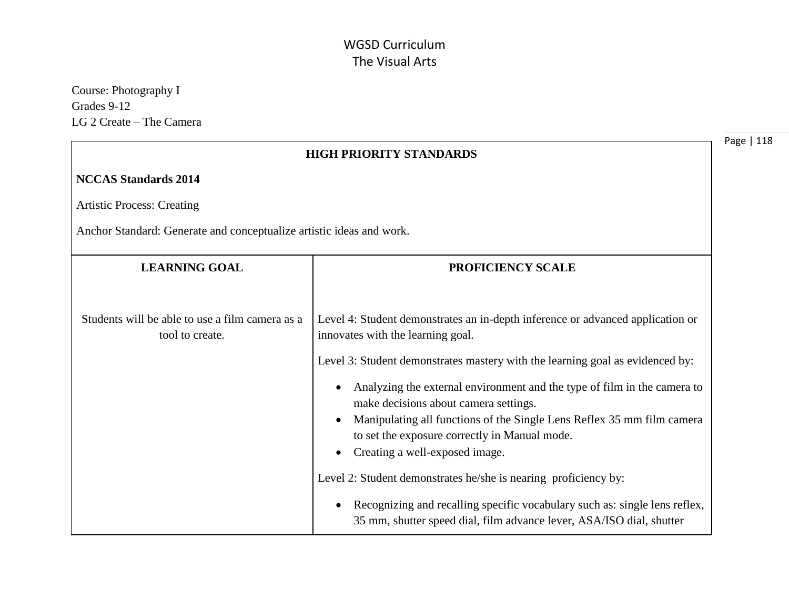Course: Photography I Grades 9-12 LG 2 Create – The Camera

| <b>HIGH PRIORITY STANDARDS</b>                                       |                                                                                                                                                                                                                                                                                |
|----------------------------------------------------------------------|--------------------------------------------------------------------------------------------------------------------------------------------------------------------------------------------------------------------------------------------------------------------------------|
| <b>NCCAS Standards 2014</b>                                          |                                                                                                                                                                                                                                                                                |
| <b>Artistic Process: Creating</b>                                    |                                                                                                                                                                                                                                                                                |
| Anchor Standard: Generate and conceptualize artistic ideas and work. |                                                                                                                                                                                                                                                                                |
| <b>LEARNING GOAL</b><br><b>PROFICIENCY SCALE</b>                     |                                                                                                                                                                                                                                                                                |
| Students will be able to use a film camera as a<br>tool to create.   | Level 4: Student demonstrates an in-depth inference or advanced application or<br>innovates with the learning goal.<br>Level 3: Student demonstrates mastery with the learning goal as evidenced by:                                                                           |
|                                                                      | Analyzing the external environment and the type of film in the camera to<br>make decisions about camera settings.<br>Manipulating all functions of the Single Lens Reflex 35 mm film camera<br>to set the exposure correctly in Manual mode.<br>Creating a well-exposed image. |
|                                                                      | Level 2: Student demonstrates he/she is nearing proficiency by:<br>Recognizing and recalling specific vocabulary such as: single lens reflex,<br>35 mm, shutter speed dial, film advance lever, ASA/ISO dial, shutter                                                          |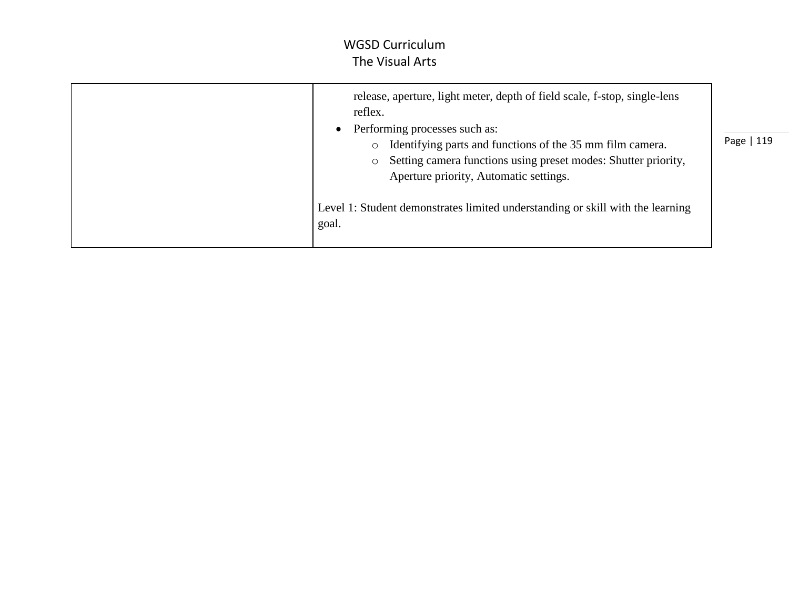| release, aperture, light meter, depth of field scale, f-stop, single-lens<br>reflex.<br>Performing processes such as:<br>Identifying parts and functions of the 35 mm film camera.<br>$\circ$<br>Setting camera functions using preset modes: Shutter priority,<br>$\circ$<br>Aperture priority, Automatic settings. | Page   119 |
|----------------------------------------------------------------------------------------------------------------------------------------------------------------------------------------------------------------------------------------------------------------------------------------------------------------------|------------|
| Level 1: Student demonstrates limited understanding or skill with the learning<br>goal.                                                                                                                                                                                                                              |            |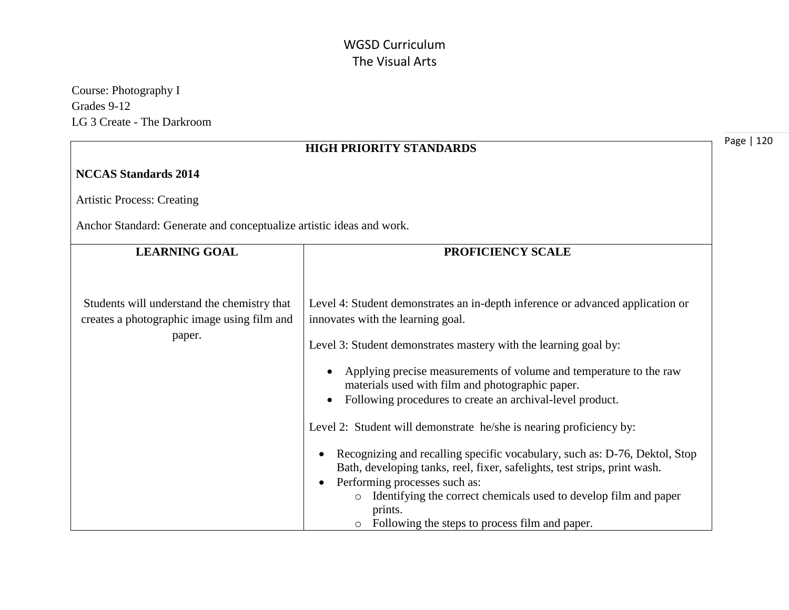Course: Photography I Grades 9-12 LG 3 Create - The Darkroom

|                                                                                                      | <b>HIGH PRIORITY STANDARDS</b>                                                                                                                                                                                                                                                                                                                                                                                                                                                                                                                                                                                                                                                                                                                               | Page   120 |
|------------------------------------------------------------------------------------------------------|--------------------------------------------------------------------------------------------------------------------------------------------------------------------------------------------------------------------------------------------------------------------------------------------------------------------------------------------------------------------------------------------------------------------------------------------------------------------------------------------------------------------------------------------------------------------------------------------------------------------------------------------------------------------------------------------------------------------------------------------------------------|------------|
| <b>NCCAS Standards 2014</b>                                                                          |                                                                                                                                                                                                                                                                                                                                                                                                                                                                                                                                                                                                                                                                                                                                                              |            |
| <b>Artistic Process: Creating</b>                                                                    |                                                                                                                                                                                                                                                                                                                                                                                                                                                                                                                                                                                                                                                                                                                                                              |            |
| Anchor Standard: Generate and conceptualize artistic ideas and work.                                 |                                                                                                                                                                                                                                                                                                                                                                                                                                                                                                                                                                                                                                                                                                                                                              |            |
| <b>LEARNING GOAL</b>                                                                                 | PROFICIENCY SCALE                                                                                                                                                                                                                                                                                                                                                                                                                                                                                                                                                                                                                                                                                                                                            |            |
| Students will understand the chemistry that<br>creates a photographic image using film and<br>paper. | Level 4: Student demonstrates an in-depth inference or advanced application or<br>innovates with the learning goal.<br>Level 3: Student demonstrates mastery with the learning goal by:<br>Applying precise measurements of volume and temperature to the raw<br>$\bullet$<br>materials used with film and photographic paper.<br>Following procedures to create an archival-level product.<br>$\bullet$<br>Level 2: Student will demonstrate he/she is nearing proficiency by:<br>Recognizing and recalling specific vocabulary, such as: D-76, Dektol, Stop<br>Bath, developing tanks, reel, fixer, safelights, test strips, print wash.<br>Performing processes such as:<br>$\bullet$<br>Identifying the correct chemicals used to develop film and paper |            |
|                                                                                                      | prints.<br>Following the steps to process film and paper.<br>$\circ$                                                                                                                                                                                                                                                                                                                                                                                                                                                                                                                                                                                                                                                                                         |            |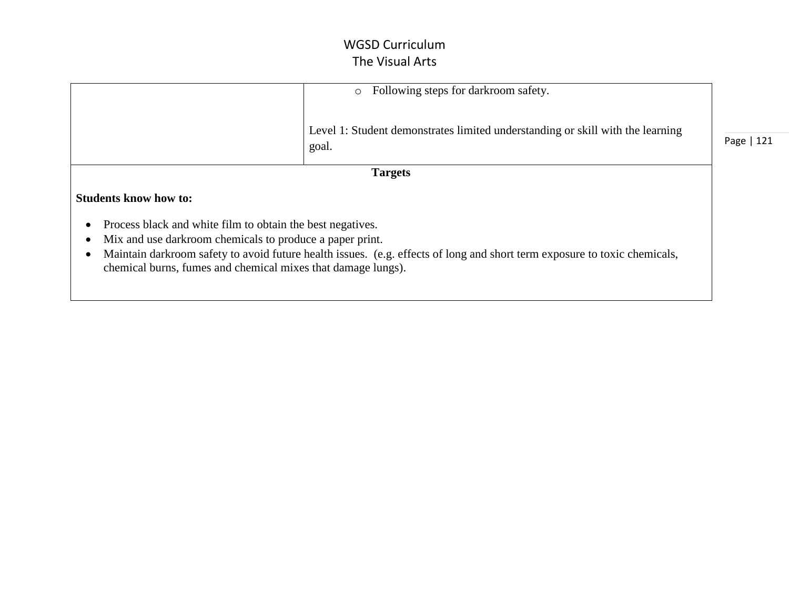|                                                                                                                                                                                                                                                                                                                     | Following steps for darkroom safety.<br>$\circ$                                         |            |
|---------------------------------------------------------------------------------------------------------------------------------------------------------------------------------------------------------------------------------------------------------------------------------------------------------------------|-----------------------------------------------------------------------------------------|------------|
|                                                                                                                                                                                                                                                                                                                     | Level 1: Student demonstrates limited understanding or skill with the learning<br>goal. | Page   121 |
|                                                                                                                                                                                                                                                                                                                     | <b>Targets</b>                                                                          |            |
| <b>Students know how to:</b>                                                                                                                                                                                                                                                                                        |                                                                                         |            |
| Process black and white film to obtain the best negatives.<br>Mix and use darkroom chemicals to produce a paper print.<br>Maintain darkroom safety to avoid future health issues. (e.g. effects of long and short term exposure to toxic chemicals,<br>chemical burns, fumes and chemical mixes that damage lungs). |                                                                                         |            |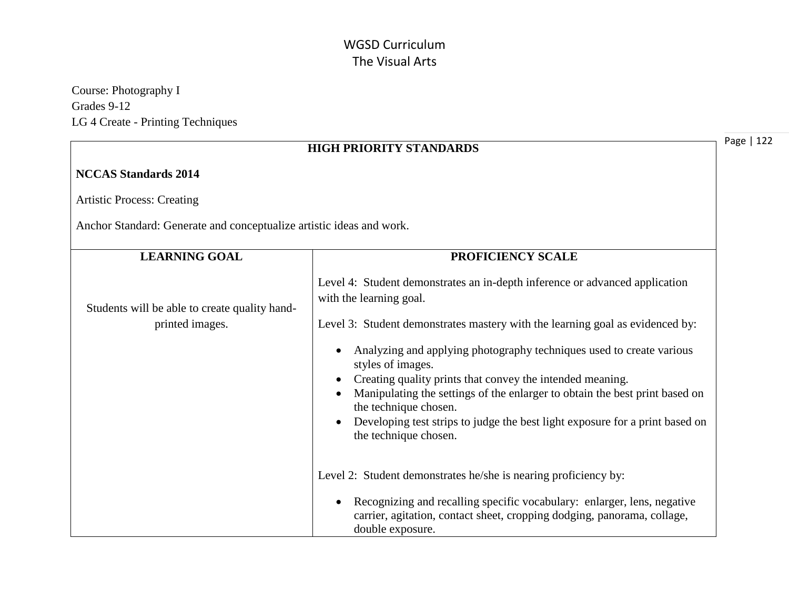Course: Photography I Grades 9-12 LG 4 Create - Printing Techniques

| <b>HIGH PRIORITY STANDARDS</b>                                       |                                                                                                                                                                                                                                                                                                                                                                                                                                                                                                                                                                    |
|----------------------------------------------------------------------|--------------------------------------------------------------------------------------------------------------------------------------------------------------------------------------------------------------------------------------------------------------------------------------------------------------------------------------------------------------------------------------------------------------------------------------------------------------------------------------------------------------------------------------------------------------------|
| <b>NCCAS Standards 2014</b>                                          |                                                                                                                                                                                                                                                                                                                                                                                                                                                                                                                                                                    |
| <b>Artistic Process: Creating</b>                                    |                                                                                                                                                                                                                                                                                                                                                                                                                                                                                                                                                                    |
| Anchor Standard: Generate and conceptualize artistic ideas and work. |                                                                                                                                                                                                                                                                                                                                                                                                                                                                                                                                                                    |
| <b>LEARNING GOAL</b>                                                 | PROFICIENCY SCALE                                                                                                                                                                                                                                                                                                                                                                                                                                                                                                                                                  |
| Students will be able to create quality hand-<br>printed images.     | Level 4: Student demonstrates an in-depth inference or advanced application<br>with the learning goal.<br>Level 3: Student demonstrates mastery with the learning goal as evidenced by:<br>Analyzing and applying photography techniques used to create various<br>styles of images.<br>Creating quality prints that convey the intended meaning.<br>Manipulating the settings of the enlarger to obtain the best print based on<br>the technique chosen.<br>Developing test strips to judge the best light exposure for a print based on<br>the technique chosen. |
|                                                                      | Level 2: Student demonstrates he/she is nearing proficiency by:<br>Recognizing and recalling specific vocabulary: enlarger, lens, negative<br>carrier, agitation, contact sheet, cropping dodging, panorama, collage,<br>double exposure.                                                                                                                                                                                                                                                                                                                          |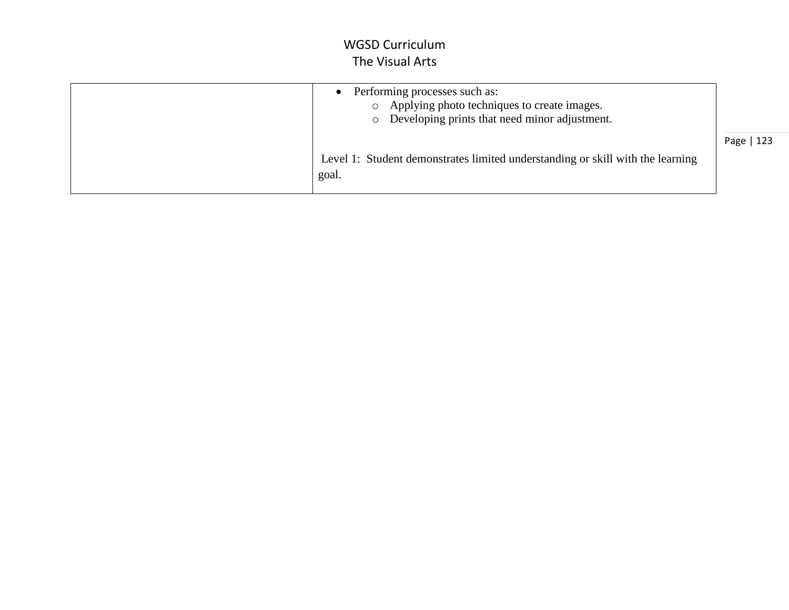| Performing processes such as:<br>Applying photo techniques to create images.<br>$\circ$<br>Developing prints that need minor adjustment.<br>$\circ$ |            |
|-----------------------------------------------------------------------------------------------------------------------------------------------------|------------|
| Level 1: Student demonstrates limited understanding or skill with the learning<br>goal.                                                             | Page   123 |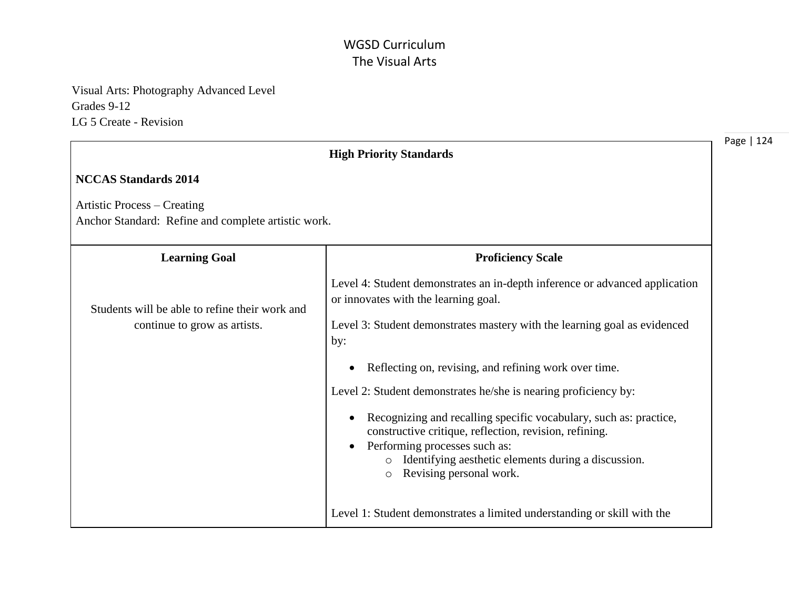Visual Arts: Photography Advanced Level Grades 9-12 LG 5 Create - Revision

|                                                                                           | <b>High Priority Standards</b>                                                                                                                                                                                                                                                                                                                                                                                                  |
|-------------------------------------------------------------------------------------------|---------------------------------------------------------------------------------------------------------------------------------------------------------------------------------------------------------------------------------------------------------------------------------------------------------------------------------------------------------------------------------------------------------------------------------|
| <b>NCCAS Standards 2014</b>                                                               |                                                                                                                                                                                                                                                                                                                                                                                                                                 |
| <b>Artistic Process – Creating</b><br>Anchor Standard: Refine and complete artistic work. |                                                                                                                                                                                                                                                                                                                                                                                                                                 |
| <b>Learning Goal</b>                                                                      | <b>Proficiency Scale</b>                                                                                                                                                                                                                                                                                                                                                                                                        |
| Students will be able to refine their work and<br>continue to grow as artists.            | Level 4: Student demonstrates an in-depth inference or advanced application<br>or innovates with the learning goal.<br>Level 3: Student demonstrates mastery with the learning goal as evidenced<br>by:                                                                                                                                                                                                                         |
|                                                                                           | Reflecting on, revising, and refining work over time.<br>$\bullet$<br>Level 2: Student demonstrates he/she is nearing proficiency by:<br>Recognizing and recalling specific vocabulary, such as: practice,<br>٠<br>constructive critique, reflection, revision, refining.<br>Performing processes such as:<br>$\bullet$<br>Identifying aesthetic elements during a discussion.<br>$\circ$<br>Revising personal work.<br>$\circ$ |
|                                                                                           | Level 1: Student demonstrates a limited understanding or skill with the                                                                                                                                                                                                                                                                                                                                                         |